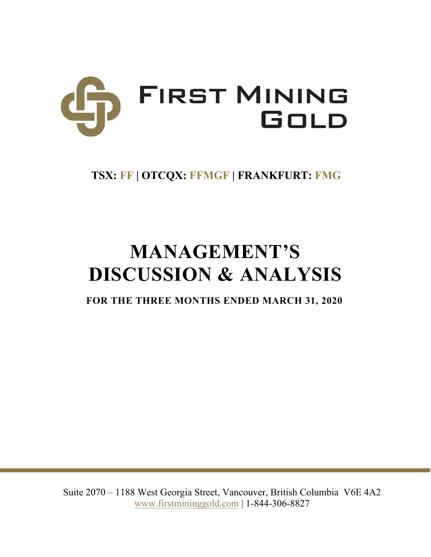

# **TSX: FF | OTCQX: FFMGF | FRANKFURT: FMG**

# **MANAGEMENT'S DISCUSSION & ANALYSIS**

**FOR THE THREE MONTHS ENDED MARCH 31, 2020**

Suite 2070 – 1188 West Georgia Street, Vancouver, British Columbia V6E 4A2 www.firstmininggold.com | 1-844-306-8827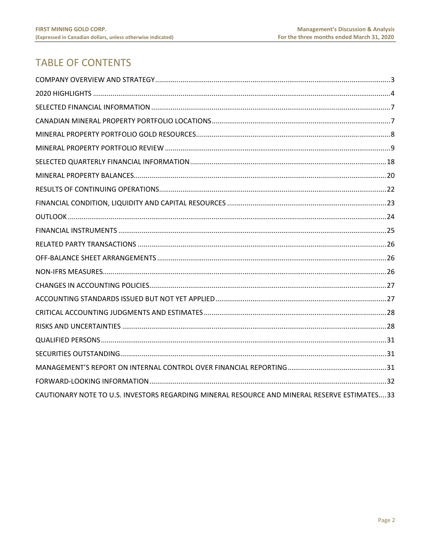# **TABLE OF CONTENTS**

| CAUTIONARY NOTE TO U.S. INVESTORS REGARDING MINERAL RESOURCE AND MINERAL RESERVE ESTIMATES33 |  |
|----------------------------------------------------------------------------------------------|--|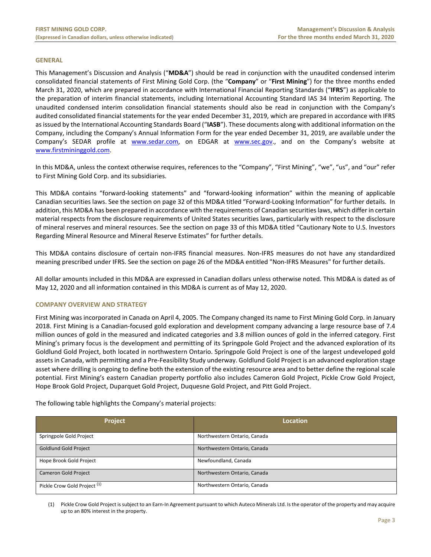#### **GENERAL**

This Management's Discussion and Analysis ("**MD&A**") should be read in conjunction with the unaudited condensed interim consolidated financial statements of First Mining Gold Corp. (the "**Company**" or "**First Mining**") for the three months ended March 31, 2020, which are prepared in accordance with International Financial Reporting Standards ("**IFRS**") as applicable to the preparation of interim financial statements, including International Accounting Standard IAS 34 Interim Reporting. The unaudited condensed interim consolidation financial statements should also be read in conjunction with the Company's audited consolidated financial statements for the year ended December 31, 2019, which are prepared in accordance with IFRS as issued by the International Accounting Standards Board ("**IASB**"). These documents along with additional information on the Company, including the Company's Annual Information Form for the year ended December 31, 2019, are available under the Company's SEDAR profile at www.sedar.com, on EDGAR at www.sec.gov., and on the Company's website at www.firstmininggold.com.

In this MD&A, unless the context otherwise requires, references to the "Company", "First Mining", "we", "us", and "our" refer to First Mining Gold Corp. and its subsidiaries.

This MD&A contains "forward‐looking statements" and "forward‐looking information" within the meaning of applicable Canadian securities laws. See the section on page 32 of this MD&A titled "Forward‐Looking Information" for further details. In addition, this MD&A has been prepared in accordance with the requirements of Canadian securities laws, which differ in certain material respects from the disclosure requirements of United States securities laws, particularly with respect to the disclosure of mineral reserves and mineral resources. See the section on page 33 of this MD&A titled "Cautionary Note to U.S. Investors Regarding Mineral Resource and Mineral Reserve Estimates" for further details.

This MD&A contains disclosure of certain non‐IFRS financial measures. Non‐IFRS measures do not have any standardized meaning prescribed under IFRS. See the section on page 26 of the MD&A entitled "Non-IFRS Measures" for further details.

All dollar amounts included in this MD&A are expressed in Canadian dollars unless otherwise noted. This MD&A is dated as of May 12, 2020 and all information contained in this MD&A is current as of May 12, 2020.

# **COMPANY OVERVIEW AND STRATEGY**

First Mining was incorporated in Canada on April 4, 2005. The Company changed its name to First Mining Gold Corp. in January 2018. First Mining is a Canadian‐focused gold exploration and development company advancing a large resource base of 7.4 million ounces of gold in the measured and indicated categories and 3.8 million ounces of gold in the inferred category. First Mining's primary focus is the development and permitting of its Springpole Gold Project and the advanced exploration of its Goldlund Gold Project, both located in northwestern Ontario. Springpole Gold Project is one of the largest undeveloped gold assets in Canada, with permitting and a Pre‐Feasibility Study underway. Goldlund Gold Project is an advanced exploration stage asset where drilling is ongoing to define both the extension of the existing resource area and to better define the regional scale potential. First Mining's eastern Canadian property portfolio also includes Cameron Gold Project, Pickle Crow Gold Project, Hope Brook Gold Project, Duparquet Gold Project, Duquesne Gold Project, and Pitt Gold Project.

The following table highlights the Company's material projects:

| Project                                 | <b>Location</b>              |
|-----------------------------------------|------------------------------|
| Springpole Gold Project                 | Northwestern Ontario, Canada |
| <b>Goldlund Gold Project</b>            | Northwestern Ontario, Canada |
| Hope Brook Gold Project                 | Newfoundland, Canada         |
| <b>Cameron Gold Project</b>             | Northwestern Ontario, Canada |
| Pickle Crow Gold Project <sup>(1)</sup> | Northwestern Ontario, Canada |

(1) Pickle Crow Gold Project is subject to an Earn‐In Agreement pursuant to which Auteco Minerals Ltd. Is the operator of the property and may acquire up to an 80% interest in the property.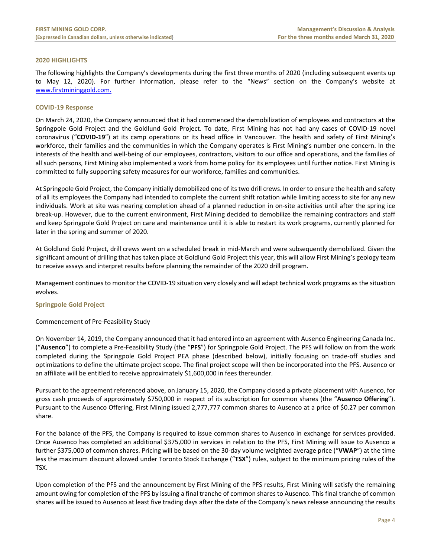# **2020 HIGHLIGHTS**

The following highlights the Company's developments during the first three months of 2020 (including subsequent events up to May 12, 2020). For further information, please refer to the "News" section on the Company's website at www.firstmininggold.com.

# **COVID‐19 Response**

On March 24, 2020, the Company announced that it had commenced the demobilization of employees and contractors at the Springpole Gold Project and the Goldlund Gold Project. To date, First Mining has not had any cases of COVID-19 novel coronavirus ("**COVID-19**") at its camp operations or its head office in Vancouver. The health and safety of First Mining's workforce, their families and the communities in which the Company operates is First Mining's number one concern. In the interests of the health and well‐being of our employees, contractors, visitors to our office and operations, and the families of all such persons, First Mining also implemented a work from home policy for its employees until further notice. First Mining is committed to fully supporting safety measures for our workforce, families and communities.

At Springpole Gold Project, the Company initially demobilized one of its two drill crews. In order to ensure the health and safety of all its employees the Company had intended to complete the current shift rotation while limiting access to site for any new individuals. Work at site was nearing completion ahead of a planned reduction in on‐site activities until after the spring ice break‐up. However, due to the current environment, First Mining decided to demobilize the remaining contractors and staff and keep Springpole Gold Project on care and maintenance until it is able to restart its work programs, currently planned for later in the spring and summer of 2020.

At Goldlund Gold Project, drill crews went on a scheduled break in mid‐March and were subsequently demobilized. Given the significant amount of drilling that has taken place at Goldlund Gold Project this year, this will allow First Mining's geology team to receive assays and interpret results before planning the remainder of the 2020 drill program.

Management continues to monitor the COVID‐19 situation very closely and will adapt technical work programs as the situation evolves.

# **Springpole Gold Project**

# Commencement of Pre‐Feasibility Study

On November 14, 2019, the Company announced that it had entered into an agreement with Ausenco Engineering Canada Inc. ("**Ausenco**") to complete a Pre‐Feasibility Study (the "**PFS**") for Springpole Gold Project. The PFS will follow on from the work completed during the Springpole Gold Project PEA phase (described below), initially focusing on trade‐off studies and optimizations to define the ultimate project scope. The final project scope will then be incorporated into the PFS. Ausenco or an affiliate will be entitled to receive approximately \$1,600,000 in fees thereunder.

Pursuant to the agreement referenced above, on January 15, 2020, the Company closed a private placement with Ausenco, for gross cash proceeds of approximately \$750,000 in respect of its subscription for common shares (the "**Ausenco Offering**"). Pursuant to the Ausenco Offering, First Mining issued 2,777,777 common shares to Ausenco at a price of \$0.27 per common share.

For the balance of the PFS, the Company is required to issue common shares to Ausenco in exchange for services provided. Once Ausenco has completed an additional \$375,000 in services in relation to the PFS, First Mining will issue to Ausenco a further \$375,000 of common shares. Pricing will be based on the 30‐day volume weighted average price ("**VWAP**") at the time less the maximum discount allowed under Toronto Stock Exchange ("**TSX**") rules, subject to the minimum pricing rules of the TSX.

Upon completion of the PFS and the announcement by First Mining of the PFS results, First Mining will satisfy the remaining amount owing for completion of the PFS by issuing a final tranche of common shares to Ausenco. This final tranche of common shares will be issued to Ausenco at least five trading days after the date of the Company's news release announcing the results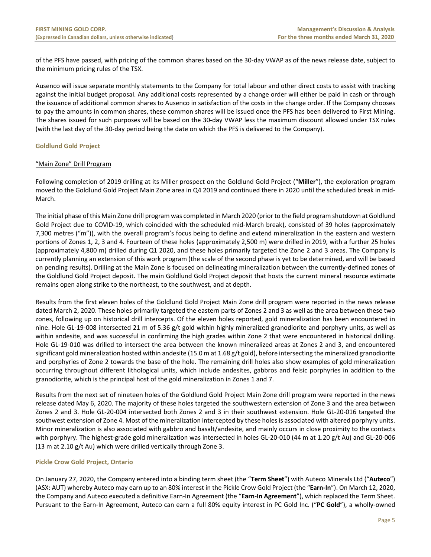of the PFS have passed, with pricing of the common shares based on the 30‐day VWAP as of the news release date, subject to the minimum pricing rules of the TSX.

Ausenco will issue separate monthly statements to the Company for total labour and other direct costs to assist with tracking against the initial budget proposal. Any additional costs represented by a change order will either be paid in cash or through the issuance of additional common shares to Ausenco in satisfaction of the costs in the change order. If the Company chooses to pay the amounts in common shares, these common shares will be issued once the PFS has been delivered to First Mining. The shares issued for such purposes will be based on the 30‐day VWAP less the maximum discount allowed under TSX rules (with the last day of the 30‐day period being the date on which the PFS is delivered to the Company).

# **Goldlund Gold Project**

# "Main Zone" Drill Program

Following completion of 2019 drilling at its Miller prospect on the Goldlund Gold Project ("**Miller**"), the exploration program moved to the Goldlund Gold Project Main Zone area in Q4 2019 and continued there in 2020 until the scheduled break in mid‐ March.

The initial phase of this Main Zone drill program was completed in March 2020 (prior to the field program shutdown at Goldlund Gold Project due to COVID‐19, which coincided with the scheduled mid‐March break), consisted of 39 holes (approximately 7,300 metres ("m")), with the overall program's focus being to define and extend mineralization in the eastern and western portions of Zones 1, 2, 3 and 4. Fourteen of these holes (approximately 2,500 m) were drilled in 2019, with a further 25 holes (approximately 4,800 m) drilled during Q1 2020, and these holes primarily targeted the Zone 2 and 3 areas. The Company is currently planning an extension of this work program (the scale of the second phase is yet to be determined, and will be based on pending results). Drilling at the Main Zone is focused on delineating mineralization between the currently‐defined zones of the Goldlund Gold Project deposit. The main Goldlund Gold Project deposit that hosts the current mineral resource estimate remains open along strike to the northeast, to the southwest, and at depth.

Results from the first eleven holes of the Goldlund Gold Project Main Zone drill program were reported in the news release dated March 2, 2020. These holes primarily targeted the eastern parts of Zones 2 and 3 as well as the area between these two zones, following up on historical drill intercepts. Of the eleven holes reported, gold mineralization has been encountered in nine. Hole GL‐19‐008 intersected 21 m of 5.36 g/t gold within highly mineralized granodiorite and porphyry units, as well as within andesite, and was successful in confirming the high grades within Zone 2 that were encountered in historical drilling. Hole GL-19-010 was drilled to intersect the area between the known mineralized areas at Zones 2 and 3, and encountered significant gold mineralization hosted within andesite (15.0 m at 1.68 g/t gold), before intersecting the mineralized granodiorite and porphyries of Zone 2 towards the base of the hole. The remaining drill holes also show examples of gold mineralization occurring throughout different lithological units, which include andesites, gabbros and felsic porphyries in addition to the granodiorite, which is the principal host of the gold mineralization in Zones 1 and 7.

Results from the next set of nineteen holes of the Goldlund Gold Project Main Zone drill program were reported in the news release dated May 6, 2020. The majority of these holes targeted the southwestern extension of Zone 3 and the area between Zones 2 and 3. Hole GL-20-004 intersected both Zones 2 and 3 in their southwest extension. Hole GL-20-016 targeted the southwest extension of Zone 4. Most of the mineralization intercepted by these holes is associated with altered porphyry units. Minor mineralization is also associated with gabbro and basalt/andesite, and mainly occurs in close proximity to the contacts with porphyry. The highest-grade gold mineralization was intersected in holes GL-20-010 (44 m at 1.20 g/t Au) and GL-20-006 (13 m at 2.10 g/t Au) which were drilled vertically through Zone 3.

# **Pickle Crow Gold Project, Ontario**

On January 27, 2020, the Company entered into a binding term sheet (the "**Term Sheet**") with Auteco Minerals Ltd ("**Auteco**") (ASX: AUT) whereby Auteco may earn up to an 80% interest in the Pickle Crow Gold Project (the "**Earn‐In**"). On March 12, 2020, the Company and Auteco executed a definitive Earn‐In Agreement (the "**Earn‐In Agreement**"), which replaced the Term Sheet. Pursuant to the Earn‐In Agreement, Auteco can earn a full 80% equity interest in PC Gold Inc. ("**PC Gold**"), a wholly‐owned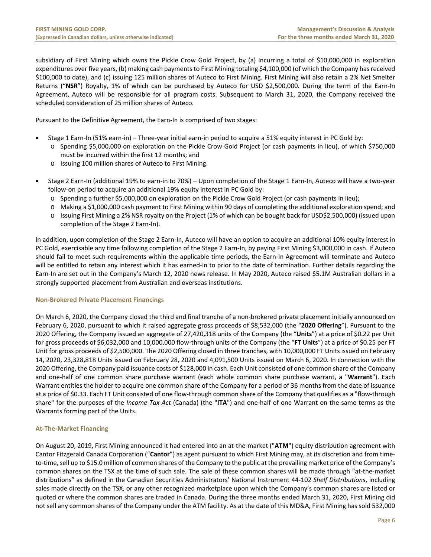subsidiary of First Mining which owns the Pickle Crow Gold Project, by (a) incurring a total of \$10,000,000 in exploration expenditures over five years, (b) making cash payments to First Mining totaling \$4,100,000 (of which the Company has received \$100,000 to date), and (c) issuing 125 million shares of Auteco to First Mining. First Mining will also retain a 2% Net Smelter Returns ("NSR") Royalty, 1% of which can be purchased by Auteco for USD \$2,500,000. During the term of the Earn-In Agreement, Auteco will be responsible for all program costs. Subsequent to March 31, 2020, the Company received the scheduled consideration of 25 million shares of Auteco.

Pursuant to the Definitive Agreement, the Earn-In is comprised of two stages:

- Stage 1 Earn-In (51% earn-in) Three-year initial earn-in period to acquire a 51% equity interest in PC Gold by:
- o Spending \$5,000,000 on exploration on the Pickle Crow Gold Project (or cash payments in lieu), of which \$750,000 must be incurred within the first 12 months; and
	- o Issuing 100 million shares of Auteco to First Mining.
- Stage 2 Earn-In (additional 19% to earn-in to 70%) Upon completion of the Stage 1 Earn-In, Auteco will have a two-year follow-on period to acquire an additional 19% equity interest in PC Gold by:
	- o Spending a further \$5,000,000 on exploration on the Pickle Crow Gold Project (or cash payments in lieu);
	- o Making a \$1,000,000 cash payment to First Mining within 90 days of completing the additional exploration spend; and
	- o Issuing First Mining a 2% NSR royalty on the Project (1% of which can be bought back for USD\$2,500,000) (issued upon completion of the Stage 2 Earn‐In).

In addition, upon completion of the Stage 2 Earn-In, Auteco will have an option to acquire an additional 10% equity interest in PC Gold, exercisable any time following completion of the Stage 2 Earn‐In, by paying First Mining \$3,000,000 in cash. If Auteco should fail to meet such requirements within the applicable time periods, the Earn-In Agreement will terminate and Auteco will be entitled to retain any interest which it has earned-in to prior to the date of termination. Further details regarding the Earn-In are set out in the Company's March 12, 2020 news release. In May 2020, Auteco raised \$5.1M Australian dollars in a strongly supported placement from Australian and overseas institutions.

# **Non‐Brokered Private Placement Financings**

On March 6, 2020, the Company closed the third and final tranche of a non‐brokered private placement initially announced on February 6, 2020, pursuant to which it raised aggregate gross proceeds of \$8,532,000 (the "**2020 Offering**"). Pursuant to the 2020 Offering, the Company issued an aggregate of 27,420,318 units of the Company (the "**Units**") at a price of \$0.22 per Unit for gross proceeds of \$6,032,000 and 10,000,000 flow‐through units of the Company (the "**FT Units**") at a price of \$0.25 per FT Unit for gross proceeds of \$2,500,000. The 2020 Offering closed in three tranches, with 10,000,000 FT Units issued on February 14, 2020, 23,328,818 Units issued on February 28, 2020 and 4,091,500 Units issued on March 6, 2020. In connection with the 2020 Offering, the Company paid issuance costs of \$128,000 in cash. Each Unit consisted of one common share of the Company and one‐half of one common share purchase warrant (each whole common share purchase warrant, a "**Warrant**"). Each Warrant entitles the holder to acquire one common share of the Company for a period of 36 months from the date of issuance at a price of \$0.33. Each FT Unit consisted of one flow-through common share of the Company that qualifies as a "flow-through share" for the purposes of the *Income Tax Act* (Canada) (the "**ITA**") and one‐half of one Warrant on the same terms as the Warrants forming part of the Units.

# **At‐The‐Market Financing**

On August 20, 2019, First Mining announced it had entered into an at‐the‐market ("**ATM**") equity distribution agreement with Cantor Fitzgerald Canada Corporation ("**Cantor**") as agent pursuant to which First Mining may, at its discretion and from time‐ to-time, sell up to \$15.0 million of common shares of the Company to the public at the prevailing market price of the Company's common shares on the TSX at the time of such sale. The sale of these common shares will be made through "at-the-market distributions" as defined in the Canadian Securities Administrators' National Instrument 44‐102 *Shelf Distributions*, including sales made directly on the TSX, or any other recognized marketplace upon which the Company's common shares are listed or quoted or where the common shares are traded in Canada. During the three months ended March 31, 2020, First Mining did not sell any common shares of the Company under the ATM facility. As at the date of this MD&A, First Mining has sold 532,000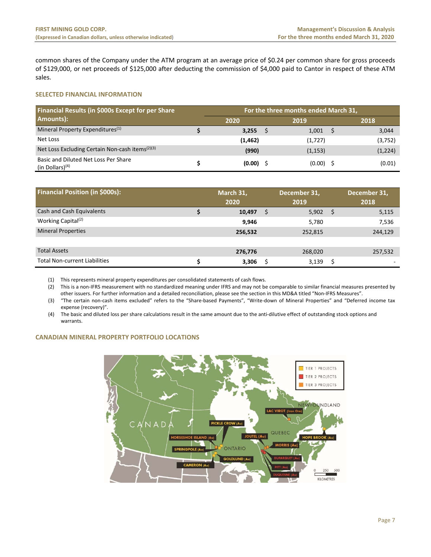common shares of the Company under the ATM program at an average price of \$0.24 per common share for gross proceeds of \$129,000, or net proceeds of \$125,000 after deducting the commission of \$4,000 paid to Cantor in respect of these ATM sales.

# **SELECTED FINANCIAL INFORMATION**

| Financial Results (in \$000s Except for per Share<br>Amounts): |  |          | For the three months ended March 31, |         |
|----------------------------------------------------------------|--|----------|--------------------------------------|---------|
|                                                                |  | 2020     | 2019                                 | 2018    |
| Mineral Property Expenditures <sup>(1)</sup>                   |  | 3,255    | 1,001                                | 3,044   |
| Net Loss                                                       |  | (1, 462) | (1,727)                              | (3,752) |
| Net Loss Excluding Certain Non-cash items <sup>(2)(3)</sup>    |  | (990)    | (1, 153)                             | (1,224) |
| Basic and Diluted Net Loss Per Share<br>(in Dollars) $(4)$     |  | (0.00)   | $(0.00)$ \$                          | (0.01)  |

| <b>Financial Position (in \$000s):</b> | March 31,<br>2020 |   | December 31,<br>2019 |      | December 31,<br>2018 |
|----------------------------------------|-------------------|---|----------------------|------|----------------------|
| Cash and Cash Equivalents              | 10,497            | S | 5,902                | - \$ | 5,115                |
| Working Capital <sup>(2)</sup>         | 9,946             |   | 5,780                |      | 7,536                |
| <b>Mineral Properties</b>              | 256,532           |   | 252,815              |      | 244,129              |
|                                        |                   |   |                      |      |                      |
| <b>Total Assets</b>                    | 276,776           |   | 268,020              |      | 257,532              |
| <b>Total Non-current Liabilities</b>   | 3,306             | S | 3,139                | S    |                      |

(1) This represents mineral property expenditures per consolidated statements of cash flows.

(2) This is a non‐IFRS measurement with no standardized meaning under IFRS and may not be comparable to similar financial measures presented by other issuers. For further information and a detailed reconciliation, please see the section in this MD&A titled "Non‐IFRS Measures".

(3) "The certain non-cash items excluded" refers to the "Share-based Payments", "Write-down of Mineral Properties" and "Deferred income tax expense (recovery)".

(4) The basic and diluted loss per share calculations result in the same amount due to the anti‐dilutive effect of outstanding stock options and warrants.

# **CANADIAN MINERAL PROPERTY PORTFOLIO LOCATIONS**

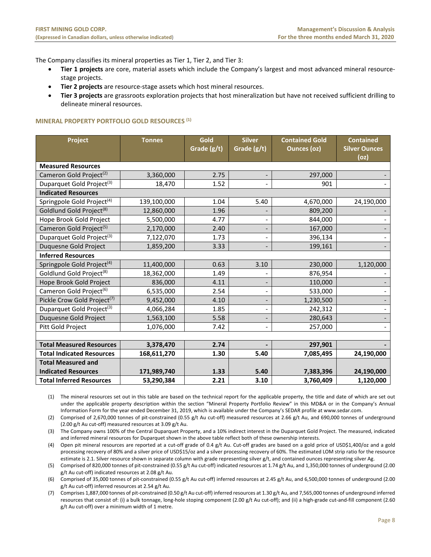The Company classifies its mineral properties as Tier 1, Tier 2, and Tier 3:

- Tier 1 projects are core, material assets which include the Company's largest and most advanced mineral resourcestage projects.
- **Tier 2 projects** are resource-stage assets which host mineral resources.
- **Tier 3 projects** are grassroots exploration projects that host mineralization but have not received sufficient drilling to delineate mineral resources.

# **MINERAL PROPERTY PORTFOLIO GOLD RESOURCES (1)**

| Project                                 | <b>Tonnes</b> | Gold<br>Grade (g/t) | <b>Silver</b><br>Grade (g/t) | <b>Contained Gold</b><br><b>Ounces (oz)</b> | <b>Contained</b><br><b>Silver Ounces</b><br>(oz) |
|-----------------------------------------|---------------|---------------------|------------------------------|---------------------------------------------|--------------------------------------------------|
| <b>Measured Resources</b>               |               |                     |                              |                                             |                                                  |
| Cameron Gold Project <sup>(2)</sup>     | 3,360,000     | 2.75                |                              | 297,000                                     |                                                  |
| Duparquet Gold Project <sup>(3)</sup>   | 18,470        | 1.52                |                              | 901                                         |                                                  |
| <b>Indicated Resources</b>              |               |                     |                              |                                             |                                                  |
| Springpole Gold Project <sup>(4)</sup>  | 139,100,000   | 1.04                | 5.40                         | 4,670,000                                   | 24,190,000                                       |
| Goldlund Gold Project <sup>(8)</sup>    | 12,860,000    | 1.96                |                              | 809,200                                     |                                                  |
| Hope Brook Gold Project                 | 5,500,000     | 4.77                |                              | 844,000                                     |                                                  |
| Cameron Gold Project <sup>(5)</sup>     | 2,170,000     | 2.40                |                              | 167,000                                     |                                                  |
| Duparquet Gold Project <sup>(3)</sup>   | 7,122,070     | 1.73                |                              | 396,134                                     |                                                  |
| Duquesne Gold Project                   | 1,859,200     | 3.33                |                              | 199,161                                     |                                                  |
| <b>Inferred Resources</b>               |               |                     |                              |                                             |                                                  |
| Springpole Gold Project <sup>(4)</sup>  | 11,400,000    | 0.63                | 3.10                         | 230,000                                     | 1,120,000                                        |
| Goldlund Gold Project <sup>(8)</sup>    | 18,362,000    | 1.49                |                              | 876,954                                     |                                                  |
| Hope Brook Gold Project                 | 836,000       | 4.11                |                              | 110,000                                     |                                                  |
| Cameron Gold Project <sup>(6)</sup>     | 6,535,000     | 2.54                |                              | 533,000                                     |                                                  |
| Pickle Crow Gold Project <sup>(7)</sup> | 9,452,000     | 4.10                |                              | 1,230,500                                   |                                                  |
| Duparquet Gold Project <sup>(3)</sup>   | 4,066,284     | 1.85                |                              | 242,312                                     |                                                  |
| Duquesne Gold Project                   | 1,563,100     | 5.58                |                              | 280,643                                     |                                                  |
| Pitt Gold Project                       | 1,076,000     | 7.42                | $\overline{\phantom{a}}$     | 257,000                                     |                                                  |
|                                         |               |                     |                              |                                             |                                                  |
| <b>Total Measured Resources</b>         | 3,378,470     | 2.74                |                              | 297,901                                     |                                                  |
| <b>Total Indicated Resources</b>        | 168,611,270   | 1.30                | 5.40                         | 7,085,495                                   | 24,190,000                                       |
| <b>Total Measured and</b>               |               |                     |                              |                                             |                                                  |
| <b>Indicated Resources</b>              | 171,989,740   | 1.33                | 5.40                         | 7,383,396                                   | 24,190,000                                       |
| <b>Total Inferred Resources</b>         | 53,290,384    | 2.21                | 3.10                         | 3,760,409                                   | 1,120,000                                        |

(1) The mineral resources set out in this table are based on the technical report for the applicable property, the title and date of which are set out under the applicable property description within the section "Mineral Property Portfolio Review" in this MD&A or in the Company's Annual Information Form for the year ended December 31, 2019, which is available under the Company's SEDAR profile at www.sedar.com.

(2) Comprised of 2,670,000 tonnes of pit‐constrained (0.55 g/t Au cut‐off) measured resources at 2.66 g/t Au, and 690,000 tonnes of underground (2.00 g/t Au cut‐off) measured resources at 3.09 g/t Au.

(3) The Company owns 100% of the Central Duparquet Property, and a 10% indirect interest in the Duparquet Gold Project. The measured, indicated and inferred mineral resources for Duparquet shown in the above table reflect both of these ownership interests.

(4) Open pit mineral resources are reported at a cut‐off grade of 0.4 g/t Au. Cut‐off grades are based on a gold price of USD\$1,400/oz and a gold processing recovery of 80% and a silver price of USD\$15/oz and a silver processing recovery of 60%. The estimated LOM strip ratio for the resource estimate is 2.1. Silver resource shown in separate column with grade representing silver g/t, and contained ounces representing silver Ag.

(5) Comprised of 820,000 tonnes of pit‐constrained (0.55 g/t Au cut‐off) indicated resources at 1.74 g/t Au, and 1,350,000 tonnes of underground (2.00 g/t Au cut-off) indicated resources at 2.08 g/t Au.

(6) Comprised of 35,000 tonnes of pit‐constrained (0.55 g/t Au cut‐off) inferred resources at 2.45 g/t Au, and 6,500,000 tonnes of underground (2.00 g/t Au cut‐off) inferred resources at 2.54 g/t Au.

(7) Comprises 1,887,000 tonnes of pit‐constrained (0.50 g/t Au cut‐off) inferred resources at 1.30 g/t Au, and 7,565,000 tonnes of underground inferred resources that consist of: (i) a bulk tonnage, long‐hole stoping component (2.00 g/t Au cut‐off); and (ii) a high‐grade cut‐and‐fill component (2.60 g/t Au cut‐off) over a minimum width of 1 metre.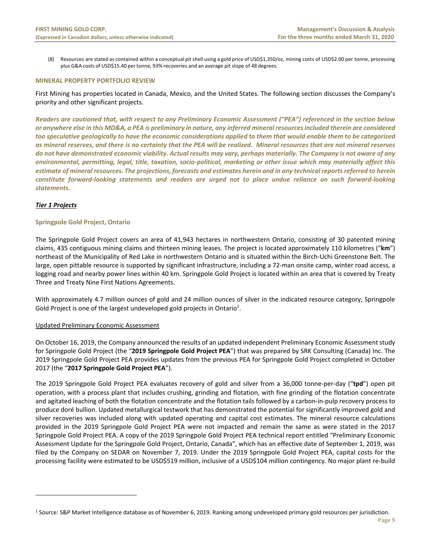(8) Resources are stated as contained within a conceptual pit shell using a gold price of USD\$1,350/oz, mining costs of USD\$2.00 per tonne, processing plus G&A costs of USD\$15.40 per tonne, 93% recoveries and an average pit slope of 48 degrees.

#### **MINERAL PROPERTY PORTFOLIO REVIEW**

First Mining has properties located in Canada, Mexico, and the United States. The following section discusses the Company's priority and other significant projects.

*Readers are cautioned that, with respect to any Preliminary Economic Assessment ("PEA") referenced in the section below or anywhere else in this MD&A, a PEA is preliminary in nature, any inferred mineral resources included therein are considered too speculative geologically to have the economic considerations applied to them that would enable them to be categorized as mineral reserves, and there is no certainty that the PEA will be realized. Mineral resources that are not mineral reserves do not have demonstrated economic viability. Actual results may vary, perhaps materially. The Company is not aware of any environmental, permitting, legal, title, taxation, socio‐political, marketing or other issue which may materially affect this estimate of mineral resources. The projections, forecasts and estimates herein and in any technical reports referred to herein constitute forward‐looking statements and readers are urged not to place undue reliance on such forward‐looking statements.*

# *Tier 1 Projects*

# **Springpole Gold Project, Ontario**

The Springpole Gold Project covers an area of 41,943 hectares in northwestern Ontario, consisting of 30 patented mining claims, 435 contiguous mining claims and thirteen mining leases. The project is located approximately 110 kilometres ("**km**") northeast of the Municipality of Red Lake in northwestern Ontario and is situated within the Birch‐Uchi Greenstone Belt. The large, open pittable resource is supported by significant infrastructure, including a 72‐man onsite camp, winter road access, a logging road and nearby power lines within 40 km. Springpole Gold Project is located within an area that is covered by Treaty Three and Treaty Nine First Nations Agreements.

With approximately 4.7 million ounces of gold and 24 million ounces of silver in the indicated resource category, Springpole Gold Project is one of the largest undeveloped gold projects in Ontario<sup>1</sup>.

# Updated Preliminary Economic Assessment

On October 16, 2019, the Company announced the results of an updated independent Preliminary Economic Assessment study for Springpole Gold Project (the "**2019 Springpole Gold Project PEA**") that was prepared by SRK Consulting (Canada) Inc. The 2019 Springpole Gold Project PEA provides updates from the previous PEA for Springpole Gold Project completed in October 2017 (the "**2017 Springpole Gold Project PEA**").

The 2019 Springpole Gold Project PEA evaluates recovery of gold and silver from a 36,000 tonne-per-day ("**tpd**") open pit operation, with a process plant that includes crushing, grinding and flotation, with fine grinding of the flotation concentrate and agitated leaching of both the flotation concentrate and the flotation tails followed by a carbon-in-pulp recovery process to produce doré bullion. Updated metallurgical testwork that has demonstrated the potential for significantly improved gold and silver recoveries was included along with updated operating and capital cost estimates. The mineral resource calculations provided in the 2019 Springpole Gold Project PEA were not impacted and remain the same as were stated in the 2017 Springpole Gold Project PEA. A copy of the 2019 Springpole Gold Project PEA technical report entitled "Preliminary Economic Assessment Update for the Springpole Gold Project, Ontario, Canada", which has an effective date of September 1, 2019, was filed by the Company on SEDAR on November 7, 2019. Under the 2019 Springpole Gold Project PEA, capital costs for the processing facility were estimated to be USD\$519 million, inclusive of a USD\$104 million contingency. No major plant re‐build

<sup>1</sup> Source: S&P Market Intelligence database as of November 6, 2019. Ranking among undeveloped primary gold resources per jurisdiction.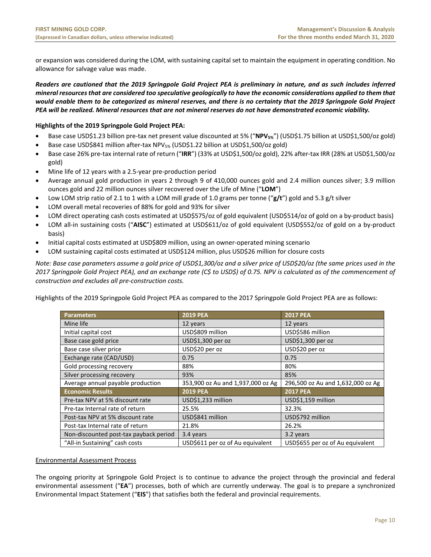or expansion was considered during the LOM, with sustaining capital set to maintain the equipment in operating condition. No allowance for salvage value was made.

*Readers are cautioned that the 2019 Springpole Gold Project PEA is preliminary in nature, and as such includes inferred mineral resources that are considered too speculative geologically to have the economic considerations applied to them that would enable them to be categorized as mineral reserves, and there is no certainty that the 2019 Springpole Gold Project PEA will be realized. Mineral resources that are not mineral reserves do not have demonstrated economic viability.*

# **Highlights of the 2019 Springpole Gold Project PEA:**

- Base case USD\$1.23 billion pre-tax net present value discounted at 5% ("NPV<sub>5%</sub>") (USD\$1.75 billion at USD\$1,500/oz gold)
- Base case USD\$841 million after-tax NPV<sub>5%</sub> (USD\$1.22 billion at USD\$1,500/oz gold)
- Base case 26% pre‐tax internal rate of return ("**IRR**") (33% at USD\$1,500/oz gold), 22% after‐tax IRR (28% at USD\$1,500/oz gold)
- Mine life of 12 years with a 2.5‐year pre‐production period
- Average annual gold production in years 2 through 9 of 410,000 ounces gold and 2.4 million ounces silver; 3.9 million ounces gold and 22 million ounces silver recovered over the Life of Mine ("**LOM**")
- Low LOM strip ratio of 2.1 to 1 with a LOM mill grade of 1.0 grams per tonne ("**g/t**") gold and 5.3 g/t silver
- LOM overall metal recoveries of 88% for gold and 93% for silver
- LOM direct operating cash costs estimated at USD\$575/oz of gold equivalent (USD\$514/oz of gold on a by-product basis)
- LOM all-in sustaining costs ("AISC") estimated at USD\$611/oz of gold equivalent (USD\$552/oz of gold on a by-product basis)
- Initial capital costs estimated at USD\$809 million, using an owner‐operated mining scenario
- LOM sustaining capital costs estimated at USD\$124 million, plus USD\$26 million for closure costs

*Note: Base case parameters assume a gold price of USD\$1,300/oz and a silver price of USD\$20/oz (the same prices used in the 2017 Springpole Gold Project PEA), and an exchange rate (C\$ to USD\$) of 0.75. NPV is calculated as of the commencement of construction and excludes all pre‐construction costs.* 

Highlights of the 2019 Springpole Gold Project PEA as compared to the 2017 Springpole Gold Project PEA are as follows:

| <b>Parameters</b>                      | <b>2019 PEA</b>                   | <b>2017 PEA</b>                   |
|----------------------------------------|-----------------------------------|-----------------------------------|
| Mine life                              | 12 years                          | 12 years                          |
| Initial capital cost                   | USD\$809 million                  | USD\$586 million                  |
| Base case gold price                   | USD\$1,300 per oz                 | USD\$1,300 per oz                 |
| Base case silver price                 | USD\$20 per oz                    | USD\$20 per oz                    |
| Exchange rate (CAD/USD)                | 0.75                              | 0.75                              |
| Gold processing recovery               | 88%                               | 80%                               |
| Silver processing recovery             | 93%                               | 85%                               |
| Average annual payable production      | 353,900 oz Au and 1,937,000 oz Ag | 296,500 oz Au and 1,632,000 oz Ag |
| <b>Economic Results</b>                | <b>2019 PEA</b>                   | <b>2017 PEA</b>                   |
| Pre-tax NPV at 5% discount rate        | USD\$1,233 million                | USD\$1,159 million                |
| Pre-tax Internal rate of return        | 25.5%                             | 32.3%                             |
| Post-tax NPV at 5% discount rate       | USD\$841 million                  | USD\$792 million                  |
| Post-tax Internal rate of return       | 21.8%                             | 26.2%                             |
| Non-discounted post-tax payback period | 3.4 years                         | 3.2 years                         |
| "All-in Sustaining" cash costs         | USD\$611 per oz of Au equivalent  | USD\$655 per oz of Au equivalent  |

# Environmental Assessment Process

The ongoing priority at Springpole Gold Project is to continue to advance the project through the provincial and federal environmental assessment ("EA") processes, both of which are currently underway. The goal is to prepare a synchronized Environmental Impact Statement ("**EIS**") that satisfies both the federal and provincial requirements.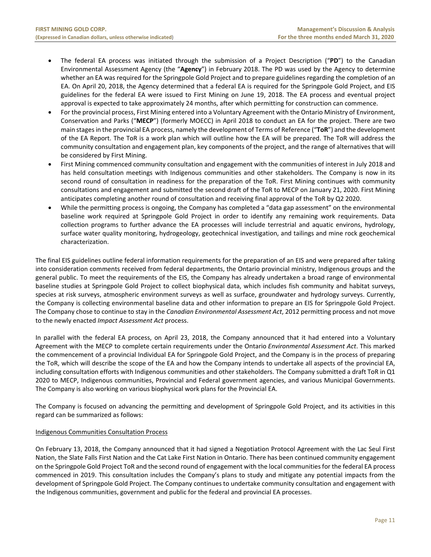- The federal EA process was initiated through the submission of a Project Description ("PD") to the Canadian Environmental Assessment Agency (the "**Agency**") in February 2018. The PD was used by the Agency to determine whether an EA was required for the Springpole Gold Project and to prepare guidelines regarding the completion of an EA. On April 20, 2018, the Agency determined that a federal EA is required for the Springpole Gold Project, and EIS guidelines for the federal EA were issued to First Mining on June 19, 2018. The EA process and eventual project approval is expected to take approximately 24 months, after which permitting for construction can commence.
- For the provincial process, First Mining entered into a Voluntary Agreement with the Ontario Ministry of Environment, Conservation and Parks ("**MECP**") (formerly MOECC) in April 2018 to conduct an EA for the project. There are two main stages in the provincial EA process, namely the development of Terms of Reference ("**ToR**") and the development of the EA Report. The ToR is a work plan which will outline how the EA will be prepared. The ToR will address the community consultation and engagement plan, key components of the project, and the range of alternatives that will be considered by First Mining.
- First Mining commenced community consultation and engagement with the communities of interest in July 2018 and has held consultation meetings with Indigenous communities and other stakeholders. The Company is now in its second round of consultation in readiness for the preparation of the ToR. First Mining continues with community consultations and engagement and submitted the second draft of the ToR to MECP on January 21, 2020. First Mining anticipates completing another round of consultation and receiving final approval of the ToR by Q2 2020.
- While the permitting process is ongoing, the Company has completed a "data gap assessment" on the environmental baseline work required at Springpole Gold Project in order to identify any remaining work requirements. Data collection programs to further advance the EA processes will include terrestrial and aquatic environs, hydrology, surface water quality monitoring, hydrogeology, geotechnical investigation, and tailings and mine rock geochemical characterization.

The final EIS guidelines outline federal information requirements for the preparation of an EIS and were prepared after taking into consideration comments received from federal departments, the Ontario provincial ministry, Indigenous groups and the general public. To meet the requirements of the EIS, the Company has already undertaken a broad range of environmental baseline studies at Springpole Gold Project to collect biophysical data, which includes fish community and habitat surveys, species at risk surveys, atmospheric environment surveys as well as surface, groundwater and hydrology surveys. Currently, the Company is collecting environmental baseline data and other information to prepare an EIS for Springpole Gold Project. The Company chose to continue to stay in the *Canadian Environmental Assessment Act*, 2012 permitting process and not move to the newly enacted *Impact Assessment Act* process.

In parallel with the federal EA process, on April 23, 2018, the Company announced that it had entered into a Voluntary Agreement with the MECP to complete certain requirements under the Ontario *Environmental Assessment Act*. This marked the commencement of a provincial Individual EA for Springpole Gold Project, and the Company is in the process of preparing the ToR, which will describe the scope of the EA and how the Company intends to undertake all aspects of the provincial EA, including consultation efforts with Indigenous communities and other stakeholders. The Company submitted a draft ToR in Q1 2020 to MECP, Indigenous communities, Provincial and Federal government agencies, and various Municipal Governments. The Company is also working on various biophysical work plans for the Provincial EA.

The Company is focused on advancing the permitting and development of Springpole Gold Project, and its activities in this regard can be summarized as follows:

# Indigenous Communities Consultation Process

On February 13, 2018, the Company announced that it had signed a Negotiation Protocol Agreement with the Lac Seul First Nation, the Slate Falls First Nation and the Cat Lake First Nation in Ontario. There has been continued community engagement on the Springpole Gold Project ToR and the second round of engagement with the local communities for the federal EA process commenced in 2019. This consultation includes the Company's plans to study and mitigate any potential impacts from the development of Springpole Gold Project. The Company continues to undertake community consultation and engagement with the Indigenous communities, government and public for the federal and provincial EA processes.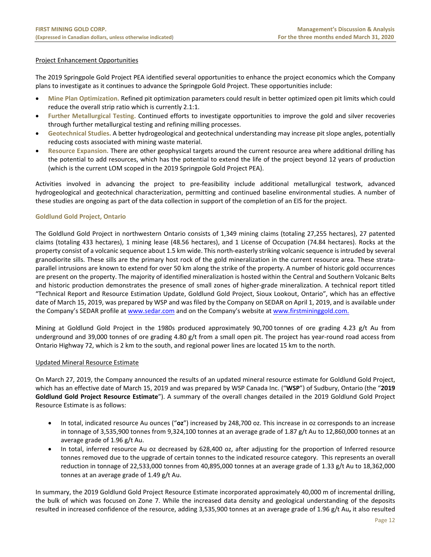# Project Enhancement Opportunities

The 2019 Springpole Gold Project PEA identified several opportunities to enhance the project economics which the Company plans to investigate as it continues to advance the Springpole Gold Project. These opportunities include:

- **Mine Plan Optimization.** Refined pit optimization parameters could result in better optimized open pit limits which could reduce the overall strip ratio which is currently 2.1:1.
- **Further Metallurgical Testing.** Continued efforts to investigate opportunities to improve the gold and silver recoveries through further metallurgical testing and refining milling processes.
- **Geotechnical Studies.** A better hydrogeological and geotechnical understanding may increase pit slope angles, potentially reducing costs associated with mining waste material.
- **Resource Expansion.** There are other geophysical targets around the current resource area where additional drilling has the potential to add resources, which has the potential to extend the life of the project beyond 12 years of production (which is the current LOM scoped in the 2019 Springpole Gold Project PEA).

Activities involved in advancing the project to pre‐feasibility include additional metallurgical testwork, advanced hydrogeological and geotechnical characterization, permitting and continued baseline environmental studies. A number of these studies are ongoing as part of the data collection in support of the completion of an EIS for the project.

# **Goldlund Gold Project, Ontario**

The Goldlund Gold Project in northwestern Ontario consists of 1,349 mining claims (totaling 27,255 hectares), 27 patented claims (totaling 433 hectares), 1 mining lease (48.56 hectares), and 1 License of Occupation (74.84 hectares). Rocks at the property consist of a volcanic sequence about 1.5 km wide. This north‐easterly striking volcanic sequence is intruded by several granodiorite sills. These sills are the primary host rock of the gold mineralization in the current resource area. These strataparallel intrusions are known to extend for over 50 km along the strike of the property. A number of historic gold occurrences are present on the property. The majority of identified mineralization is hosted within the Central and Southern Volcanic Belts and historic production demonstrates the presence of small zones of higher-grade mineralization. A technical report titled "Technical Report and Resource Estimation Update, Goldlund Gold Project, Sioux Lookout, Ontario", which has an effective date of March 15, 2019, was prepared by WSP and was filed by the Company on SEDAR on April 1, 2019, and is available under the Company's SEDAR profile at www.sedar.com and on the Company's website at www.firstmininggold.com.

Mining at Goldlund Gold Project in the 1980s produced approximately  $90,700$  tonnes of ore grading 4.23  $g/t$  Au from underground and 39,000 tonnes of ore grading 4.80 g/t from a small open pit. The project has year-round road access from Ontario Highway 72, which is 2 km to the south, and regional power lines are located 15 km to the north.

# Updated Mineral Resource Estimate

On March 27, 2019, the Company announced the results of an updated mineral resource estimate for Goldlund Gold Project, which has an effective date of March 15, 2019 and was prepared by WSP Canada Inc. ("**WSP**") of Sudbury, Ontario (the "**2019 Goldlund Gold Project Resource Estimate**"). A summary of the overall changes detailed in the 2019 Goldlund Gold Project Resource Estimate is as follows:

- In total, indicated resource Au ounces ("**oz**") increased by 248,700 oz. This increase in oz corresponds to an increase in tonnage of 3,535,900 tonnes from 9,324,100 tonnes at an average grade of 1.87 g/t Au to 12,860,000 tonnes at an average grade of 1.96 g/t Au.
- In total, inferred resource Au oz decreased by 628,400 oz, after adjusting for the proportion of Inferred resource tonnes removed due to the upgrade of certain tonnes to the indicated resource category. This represents an overall reduction in tonnage of 22,533,000 tonnes from 40,895,000 tonnes at an average grade of 1.33 g/t Au to 18,362,000 tonnes at an average grade of 1.49 g/t Au.

In summary, the 2019 Goldlund Gold Project Resource Estimate incorporated approximately 40,000 m of incremental drilling, the bulk of which was focused on Zone 7. While the increased data density and geological understanding of the deposits resulted in increased confidence of the resource, adding 3,535,900 tonnes at an average grade of 1.96 g/t Au**,** it also resulted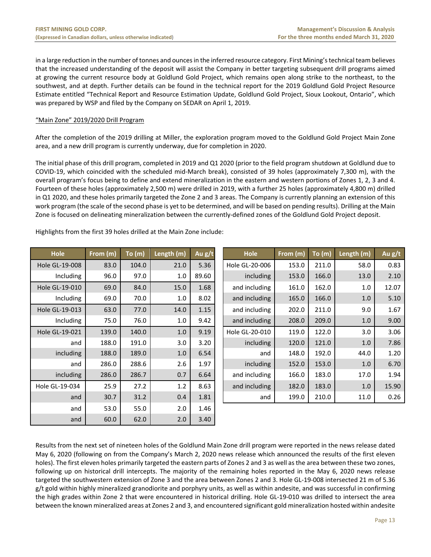in a large reduction in the number of tonnes and ounces in the inferred resource category. First Mining's technical team believes that the increased understanding of the deposit will assist the Company in better targeting subsequent drill programs aimed at growing the current resource body at Goldlund Gold Project, which remains open along strike to the northeast, to the southwest, and at depth. Further details can be found in the technical report for the 2019 Goldlund Gold Project Resource Estimate entitled "Technical Report and Resource Estimation Update, Goldlund Gold Project, Sioux Lookout, Ontario", which was prepared by WSP and filed by the Company on SEDAR on April 1, 2019.

# "Main Zone" 2019/2020 Drill Program

After the completion of the 2019 drilling at Miller, the exploration program moved to the Goldlund Gold Project Main Zone area, and a new drill program is currently underway, due for completion in 2020.

The initial phase of this drill program, completed in 2019 and Q1 2020 (prior to the field program shutdown at Goldlund due to COVID‐19, which coincided with the scheduled mid‐March break), consisted of 39 holes (approximately 7,300 m), with the overall program's focus being to define and extend mineralization in the eastern and western portions of Zones 1, 2, 3 and 4. Fourteen of these holes (approximately 2,500 m) were drilled in 2019, with a further 25 holes (approximately 4,800 m) drilled in Q1 2020, and these holes primarily targeted the Zone 2 and 3 areas. The Company is currently planning an extension of this work program (the scale of the second phase is yet to be determined, and will be based on pending results). Drilling at the Main Zone is focused on delineating mineralization between the currently‐defined zones of the Goldlund Gold Project deposit.

| Hole           | From (m) | To (m) | Length (m) | Au g/t | Hole           | From (m) | To (m) | Length (m) | Au g/t |
|----------------|----------|--------|------------|--------|----------------|----------|--------|------------|--------|
| Hole GL-19-008 | 83.0     | 104.0  | 21.0       | 5.36   | Hole GL-20-006 | 153.0    | 211.0  | 58.0       | 0.83   |
| Including      | 96.0     | 97.0   | 1.0        | 89.60  | including      | 153.0    | 166.0  | 13.0       | 2.10   |
| Hole GL-19-010 | 69.0     | 84.0   | 15.0       | 1.68   | and including  | 161.0    | 162.0  | 1.0        | 12.07  |
| Including      | 69.0     | 70.0   | 1.0        | 8.02   | and including  | 165.0    | 166.0  | 1.0        | 5.10   |
| Hole GL-19-013 | 63.0     | 77.0   | 14.0       | 1.15   | and including  | 202.0    | 211.0  | 9.0        | 1.67   |
| Including      | 75.0     | 76.0   | 1.0        | 9.42   | and including  | 208.0    | 209.0  | 1.0        | 9.00   |
| Hole GL-19-021 | 139.0    | 140.0  | 1.0        | 9.19   | Hole GL-20-010 | 119.0    | 122.0  | 3.0        | 3.06   |
| and            | 188.0    | 191.0  | 3.0        | 3.20   | including      | 120.0    | 121.0  | 1.0        | 7.86   |
| including      | 188.0    | 189.0  | 1.0        | 6.54   | and            | 148.0    | 192.0  | 44.0       | 1.20   |
| and            | 286.0    | 288.6  | 2.6        | 1.97   | including      | 152.0    | 153.0  | 1.0        | 6.70   |
| including      | 286.0    | 286.7  | 0.7        | 6.64   | and including  | 166.0    | 183.0  | 17.0       | 1.94   |
| Hole GL-19-034 | 25.9     | 27.2   | 1.2        | 8.63   | and including  | 182.0    | 183.0  | 1.0        | 15.90  |
| and            | 30.7     | 31.2   | 0.4        | 1.81   | and            | 199.0    | 210.0  | 11.0       | 0.26   |
| and            | 53.0     | 55.0   | 2.0        | 1.46   |                |          |        |            |        |
| and            | 60.0     | 62.0   | 2.0        | 3.40   |                |          |        |            |        |

| <b>Hole</b>    | From (m) | To (m) | Length (m) | Au g/t | <b>Hole</b>    | From (m) | To(m) | Length (m) | Au g/t |
|----------------|----------|--------|------------|--------|----------------|----------|-------|------------|--------|
| Hole GL-19-008 | 83.0     | 104.0  | 21.0       | 5.36   | Hole GL-20-006 | 153.0    | 211.0 | 58.0       | 0.83   |
| Including      | 96.0     | 97.0   | 1.0        | 89.60  | including      | 153.0    | 166.0 | 13.0       | 2.10   |
| Hole GL-19-010 | 69.0     | 84.0   | 15.0       | 1.68   | and including  | 161.0    | 162.0 | 1.0        | 12.07  |
| Including      | 69.0     | 70.0   | 1.0        | 8.02   | and including  | 165.0    | 166.0 | 1.0        | 5.10   |
| Hole GL-19-013 | 63.0     | 77.0   | 14.0       | 1.15   | and including  | 202.0    | 211.0 | 9.0        | 1.67   |
| Including      | 75.0     | 76.0   | 1.0        | 9.42   | and including  | 208.0    | 209.0 | 1.0        | 9.00   |
| Hole GL-19-021 | 139.0    | 140.0  | 1.0        | 9.19   | Hole GL-20-010 | 119.0    | 122.0 | 3.0        | 3.06   |
| and            | 188.0    | 191.0  | 3.0        | 3.20   | including      | 120.0    | 121.0 | 1.0        | 7.86   |
| including      | 188.0    | 189.0  | 1.0        | 6.54   | and            | 148.0    | 192.0 | 44.0       | 1.20   |
| and            | 286.0    | 288.6  | 2.6        | 1.97   | including      | 152.0    | 153.0 | 1.0        | 6.70   |
| including      | 286.0    | 286.7  | 0.7        | 6.64   | and including  | 166.0    | 183.0 | 17.0       | 1.94   |
| Hole GL-19-034 | 25.9     | 27.2   | 1.2        | 8.63   | and including  | 182.0    | 183.0 | 1.0        | 15.90  |
|                |          |        |            |        |                |          |       |            |        |

Highlights from the first 39 holes drilled at the Main Zone include:

Results from the next set of nineteen holes of the Goldlund Main Zone drill program were reported in the news release dated May 6, 2020 (following on from the Company's March 2, 2020 news release which announced the results of the first eleven holes). The first eleven holes primarily targeted the eastern parts of Zones 2 and 3 as well as the area between these two zones, following up on historical drill intercepts. The majority of the remaining holes reported in the May 6, 2020 news release targeted the southwestern extension of Zone 3 and the area between Zones 2 and 3. Hole GL‐19‐008 intersected 21 m of 5.36 g/t gold within highly mineralized granodiorite and porphyry units, as well as within andesite, and was successful in confirming the high grades within Zone 2 that were encountered in historical drilling. Hole GL‐19‐010 was drilled to intersect the area between the known mineralized areas at Zones 2 and 3, and encountered significant gold mineralization hosted within andesite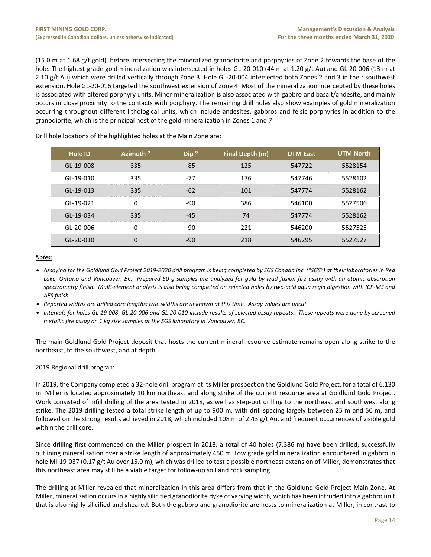(15.0 m at 1.68 g/t gold), before intersecting the mineralized granodiorite and porphyries of Zone 2 towards the base of the hole. The highest-grade gold mineralization was intersected in holes GL-20-010 (44 m at 1.20 g/t Au) and GL-20-006 (13 m at 2.10 g/t Au) which were drilled vertically through Zone 3. Hole GL‐20‐004 intersected both Zones 2 and 3 in their southwest extension. Hole GL‐20‐016 targeted the southwest extension of Zone 4. Most of the mineralization intercepted by these holes is associated with altered porphyry units. Minor mineralization is also associated with gabbro and basalt/andesite, and mainly occurs in close proximity to the contacts with porphyry. The remaining drill holes also show examples of gold mineralization occurring throughout different lithological units, which include andesites, gabbros and felsic porphyries in addition to the granodiorite, which is the principal host of the gold mineralization in Zones 1 and 7.

| <b>Hole ID</b> | Azimuth <sup>o</sup> | Dip <sup>o</sup> | Final Depth (m) | <b>UTM East</b> | <b>UTM North</b> |
|----------------|----------------------|------------------|-----------------|-----------------|------------------|
| GL-19-008      | 335                  | -85              | 125             | 547722          | 5528154          |
| GL-19-010      | 335                  | $-77$            | 176             | 547746          | 5528102          |
| GL-19-013      | 335                  | $-62$            | 101             | 547774          | 5528162          |
| GL-19-021      | $\mathbf 0$          | -90              | 386             | 546100          | 5527506          |
| GL-19-034      | 335                  | $-45$            | 74              | 547774          | 5528162          |
| GL-20-006      | $\mathbf 0$          | -90              | 221             | 546200          | 5527525          |
| GL-20-010      | 0                    | -90              | 218             | 546295          | 5527527          |

Drill hole locations of the highlighted holes at the Main Zone are:

*Notes:* 

- *Assaying for the Goldlund Gold Project 2019‐2020 drill program is being completed by SGS Canada Inc. ("SGS") at their laboratories in Red Lake, Ontario and Vancouver, BC. Prepared 50 g samples are analyzed for gold by lead fusion fire assay with an atomic absorption spectrometry finish. Multi‐element analysis is also being completed on selected holes by two‐acid aqua regia digestion with ICP‐MS and AES finish.*
- *Reported widths are drilled core lengths; true widths are unknown at this time. Assay values are uncut.*
- *Intervals for holes GL‐19‐008, GL‐20‐006 and GL‐20‐010 include results of selected assay repeats. These repeats were done by screened metallic fire assay on 1 kg size samples at the SGS laboratory in Vancouver, BC.*

The main Goldlund Gold Project deposit that hosts the current mineral resource estimate remains open along strike to the northeast, to the southwest, and at depth.

# 2019 Regional drill program

In 2019, the Company completed a 32‐hole drill program at its Miller prospect on the Goldlund Gold Project, for a total of 6,130 m. Miller is located approximately 10 km northeast and along strike of the current resource area at Goldlund Gold Project. Work consisted of infill drilling of the area tested in 2018, as well as step-out drilling to the northeast and southwest along strike. The 2019 drilling tested a total strike length of up to 900 m, with drill spacing largely between 25 m and 50 m, and followed on the strong results achieved in 2018, which included 108 m of 2.43 g/t Au, and frequent occurrences of visible gold within the drill core.

Since drilling first commenced on the Miller prospect in 2018, a total of 40 holes (7,386 m) have been drilled, successfully outlining mineralization over a strike length of approximately 450 m. Low grade gold mineralization encountered in gabbro in hole MI-19-037 (0.17 g/t Au over 15.0 m), which was drilled to test a possible northeast extension of Miller, demonstrates that this northeast area may still be a viable target for follow‐up soil and rock sampling.

The drilling at Miller revealed that mineralization in this area differs from that in the Goldlund Gold Project Main Zone. At Miller, mineralization occurs in a highly silicified granodiorite dyke of varying width, which has been intruded into a gabbro unit that is also highly silicified and sheared. Both the gabbro and granodiorite are hosts to mineralization at Miller, in contrast to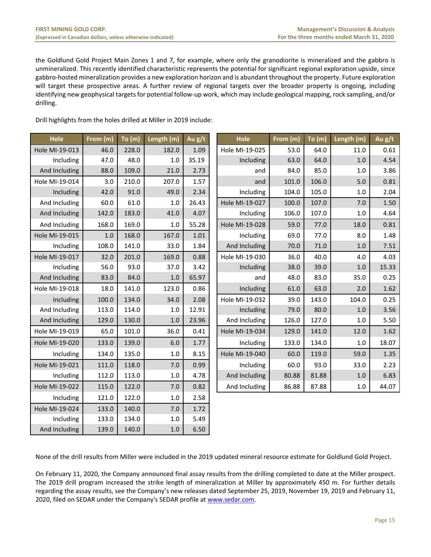the Goldlund Gold Project Main Zones 1 and 7, for example, where only the granodiorite is mineralized and the gabbro is unmineralized. This recently identified characteristic represents the potential for significant regional exploration upside, since gabbro‐hosted mineralization provides a new exploration horizon and is abundant throughout the property. Future exploration will target these prospective areas. A further review of regional targets over the broader property is ongoing, including identifying new geophysical targets for potential follow‐up work, which may include geological mapping, rock sampling, and/or drilling.

Drill highlights from the holes drilled at Miller in 2019 include:

| Hole           | From (m) | $\overline{\mathsf{To}}$ (m) | Length (m) | Au $g/t$ | Hole           | From (m) | To (m) | Length (m) | Au g/t |
|----------------|----------|------------------------------|------------|----------|----------------|----------|--------|------------|--------|
| Hole MI-19-013 | 46.0     | 228.0                        | 182.0      | 1.09     | Hole MI-19-025 | 53.0     | 64.0   | 11.0       | 0.61   |
| Including      | 47.0     | 48.0                         | 1.0        | 35.19    | Including      | 63.0     | 64.0   | 1.0        | 4.54   |
| And Including  | 88.0     | 109.0                        | 21.0       | 2.73     | and            | 84.0     | 85.0   | 1.0        | 3.86   |
| Hole MI-19-014 | 3.0      | 210.0                        | 207.0      | 1.57     | and            | 101.0    | 106.0  | 5.0        | 0.81   |
| Including      | 42.0     | 91.0                         | 49.0       | 2.34     | Including      | 104.0    | 105.0  | 1.0        | 2.04   |
| And Including  | 60.0     | 61.0                         | 1.0        | 26.43    | Hole MI-19-027 | 100.0    | 107.0  | 7.0        | 1.50   |
| And Including  | 142.0    | 183.0                        | 41.0       | 4.07     | Including      | 106.0    | 107.0  | $1.0$      | 4.64   |
| And Including  | 168.0    | 169.0                        | 1.0        | 55.28    | Hole MI-19-028 | 59.0     | 77.0   | 18.0       | 0.81   |
| Hole MI-19-015 | $1.0$    | 168.0                        | 167.0      | 1.01     | Including      | 69.0     | 77.0   | 8.0        | 1.48   |
| Including      | 108.0    | 141.0                        | 33.0       | 1.84     | And Including  | 70.0     | 71.0   | 1.0        | 7.51   |
| Hole MI-19-017 | 32.0     | 201.0                        | 169.0      | 0.88     | Hole MI-19-030 | 36.0     | 40.0   | 4.0        | 4.03   |
| Including      | 56.0     | 93.0                         | 37.0       | 3.42     | Including      | 38.0     | 39.0   | 1.0        | 15.33  |
| And Including  | 83.0     | 84.0                         | 1.0        | 65.97    | and            | 48.0     | 83.0   | 35.0       | 0.25   |
| Hole MI-19-018 | 18.0     | 141.0                        | 123.0      | 0.86     | Including      | 61.0     | 63.0   | 2.0        | 1.62   |
| Including      | 100.0    | 134.0                        | 34.0       | 2.08     | Hole MI-19-032 | 39.0     | 143.0  | 104.0      | 0.25   |
| And Including  | 113.0    | 114.0                        | 1.0        | 12.91    | Including      | 79.0     | 80.0   | 1.0        | 3.56   |
| And Including  | 129.0    | 130.0                        | 1.0        | 23.96    | And Including  | 126.0    | 127.0  | 1.0        | 5.50   |
| Hole MI-19-019 | 65.0     | 101.0                        | 36.0       | 0.41     | Hole MI-19-034 | 129.0    | 141.0  | 12.0       | 1.62   |
| Hole MI-19-020 | 133.0    | 139.0                        | 6.0        | 1.77     | Including      | 133.0    | 134.0  | $1.0$      | 18.07  |
| Including      | 134.0    | 135.0                        | 1.0        | 8.15     | Hole MI-19-040 | 60.0     | 119.0  | 59.0       | 1.35   |
| Hole MI-19-021 | 111.0    | 118.0                        | 7.0        | 0.99     | Including      | 60.0     | 93.0   | 33.0       | 2.23   |
| Including      | 112.0    | 113.0                        | $1.0$      | 4.78     | And Including  | 80.88    | 81.88  | 1.0        | 6.83   |
| Hole MI-19-022 | 115.0    | 122.0                        | 7.0        | 0.82     | And Including  | 86.88    | 87.88  | $1.0\,$    | 44.07  |
| Including      | 121.0    | 122.0                        | $1.0$      | 2.58     |                |          |        |            |        |
| Hole MI-19-024 | 133.0    | 140.0                        | 7.0        | 1.72     |                |          |        |            |        |
| Including      | 133.0    | 134.0                        | 1.0        | 5.49     |                |          |        |            |        |
| And Including  | 139.0    | 140.0                        | $1.0\,$    | 6.50     |                |          |        |            |        |

None of the drill results from Miller were included in the 2019 updated mineral resource estimate for Goldlund Gold Project.

On February 11, 2020, the Company announced final assay results from the drilling completed to date at the Miller prospect. The 2019 drill program increased the strike length of mineralization at Miller by approximately 450 m. For further details regarding the assay results, see the Company's new releases dated September 25, 2019, November 19, 2019 and February 11, 2020, filed on SEDAR under the Company's SEDAR profile at www.sedar.com.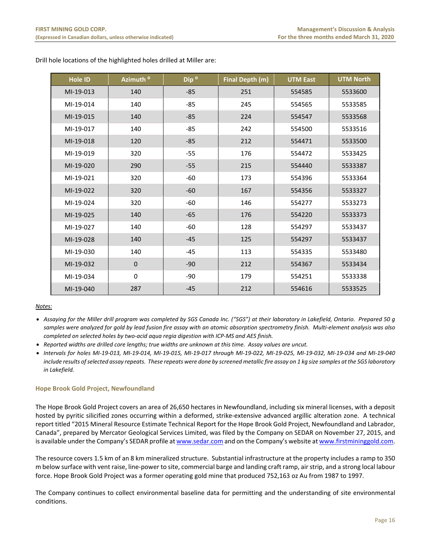| <b>Hole ID</b> | Azimuth <sup>o</sup> | Dip <sup>o</sup> | Final Depth (m) | <b>UTM East</b> | <b>UTM North</b> |
|----------------|----------------------|------------------|-----------------|-----------------|------------------|
| MI-19-013      | 140                  | $-85$            | 251             | 554585          | 5533600          |
| MI-19-014      | 140                  | $-85$            | 245             | 554565          | 5533585          |
| MI-19-015      | 140                  | $-85$            | 224             | 554547          | 5533568          |
| MI-19-017      | 140                  | $-85$            | 242             | 554500          | 5533516          |
| MI-19-018      | 120                  | $-85$            | 212             | 554471          | 5533500          |
| MI-19-019      | 320                  | $-55$            | 176             | 554472          | 5533425          |
| MI-19-020      | 290                  | $-55$            | 215             | 554440          | 5533387          |
| MI-19-021      | 320                  | $-60$            | 173             | 554396          | 5533364          |
| MI-19-022      | 320                  | $-60$            | 167             | 554356          | 5533327          |
| MI-19-024      | 320                  | -60              | 146             | 554277          | 5533273          |
| MI-19-025      | 140                  | $-65$            | 176             | 554220          | 5533373          |
| MI-19-027      | 140                  | -60              | 128             | 554297          | 5533437          |
| MI-19-028      | 140                  | $-45$            | 125             | 554297          | 5533437          |
| MI-19-030      | 140                  | $-45$            | 113             | 554335          | 5533480          |
| MI-19-032      | $\mathbf 0$          | $-90$            | 212             | 554367          | 5533434          |
| MI-19-034      | $\mathbf 0$          | $-90$            | 179             | 554251          | 5533338          |
| MI-19-040      | 287                  | $-45$            | 212             | 554616          | 5533525          |

Drill hole locations of the highlighted holes drilled at Miller are:

# *Notes:*

- *Assaying for the Miller drill program was completed by SGS Canada Inc. ("SGS") at their laboratory in Lakefield, Ontario. Prepared 50 g samples were analyzed for gold by lead fusion fire assay with an atomic absorption spectrometry finish. Multi‐element analysis was also completed on selected holes by two‐acid aqua regia digestion with ICP‐MS and AES finish.*
- *Reported widths are drilled core lengths; true widths are unknown at this time. Assay values are uncut.*
- *Intervals for holes MI‐19‐013, MI‐19‐014, MI‐19‐015, MI‐19‐017 through MI‐19‐022, MI‐19‐025, MI‐19‐032, MI‐19‐034 and MI‐19‐040 include results of selected assay repeats. These repeats were done by screened metallic fire assay on 1 kg size samples at the SGS laboratory in Lakefield.*

# **Hope Brook Gold Project, Newfoundland**

The Hope Brook Gold Project covers an area of 26,650 hectares in Newfoundland, including six mineral licenses, with a deposit hosted by pyritic silicified zones occurring within a deformed, strike‐extensive advanced argillic alteration zone. A technical report titled "2015 Mineral Resource Estimate Technical Report for the Hope Brook Gold Project, Newfoundland and Labrador, Canada", prepared by Mercator Geological Services Limited, was filed by the Company on SEDAR on November 27, 2015, and is available under the Company's SEDAR profile at www.sedar.com and on the Company's website at www.firstmininggold.com.

The resource covers 1.5 km of an 8 km mineralized structure. Substantial infrastructure at the property includes a ramp to 350 m below surface with vent raise, line‐power to site, commercial barge and landing craft ramp, air strip, and a strong local labour force. Hope Brook Gold Project was a former operating gold mine that produced 752,163 oz Au from 1987 to 1997.

The Company continues to collect environmental baseline data for permitting and the understanding of site environmental conditions.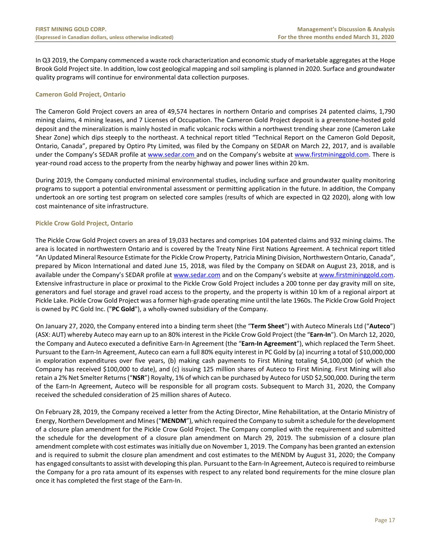In Q3 2019, the Company commenced a waste rock characterization and economic study of marketable aggregates at the Hope Brook Gold Project site. In addition, low cost geological mapping and soil sampling is planned in 2020. Surface and groundwater quality programs will continue for environmental data collection purposes.

# **Cameron Gold Project, Ontario**

The Cameron Gold Project covers an area of 49,574 hectares in northern Ontario and comprises 24 patented claims, 1,790 mining claims, 4 mining leases, and 7 Licenses of Occupation. The Cameron Gold Project deposit is a greenstone‐hosted gold deposit and the mineralization is mainly hosted in mafic volcanic rocks within a northwest trending shear zone (Cameron Lake Shear Zone) which dips steeply to the northeast. A technical report titled "Technical Report on the Cameron Gold Deposit, Ontario, Canada", prepared by Optiro Pty Limited, was filed by the Company on SEDAR on March 22, 2017, and is available under the Company's SEDAR profile at www.sedar.com and on the Company's website at www.firstmininggold.com. There is year-round road access to the property from the nearby highway and power lines within 20 km.

During 2019, the Company conducted minimal environmental studies, including surface and groundwater quality monitoring programs to support a potential environmental assessment or permitting application in the future. In addition, the Company undertook an ore sorting test program on selected core samples (results of which are expected in Q2 2020), along with low cost maintenance of site infrastructure.

# **Pickle Crow Gold Project, Ontario**

The Pickle Crow Gold Project covers an area of 19,033 hectares and comprises 104 patented claims and 932 mining claims. The area is located in northwestern Ontario and is covered by the Treaty Nine First Nations Agreement. A technical report titled "An Updated Mineral Resource Estimate for the Pickle Crow Property, Patricia Mining Division, Northwestern Ontario, Canada", prepared by Micon International and dated June 15, 2018, was filed by the Company on SEDAR on August 23, 2018, and is available under the Company's SEDAR profile at www.sedar.com and on the Company's website at www.firstmininggold.com. Extensive infrastructure in place or proximal to the Pickle Crow Gold Project includes a 200 tonne per day gravity mill on site, generators and fuel storage and gravel road access to the property, and the property is within 10 km of a regional airport at Pickle Lake. Pickle Crow Gold Project was a former high‐grade operating mine until the late 1960s. The Pickle Crow Gold Project is owned by PC Gold Inc. ("**PC Gold**"), a wholly‐owned subsidiary of the Company.

On January 27, 2020, the Company entered into a binding term sheet (the "**Term Sheet**") with Auteco Minerals Ltd ("**Auteco**") (ASX: AUT) whereby Auteco may earn up to an 80% interest in the Pickle Crow Gold Project (the "**Earn‐In**"). On March 12, 2020, the Company and Auteco executed a definitive Earn‐In Agreement (the "**Earn‐In Agreement**"), which replaced the Term Sheet. Pursuant to the Earn‐In Agreement, Auteco can earn a full 80% equity interest in PC Gold by (a) incurring a total of \$10,000,000 in exploration expenditures over five years, (b) making cash payments to First Mining totaling \$4,100,000 (of which the Company has received \$100,000 to date), and (c) issuing 125 million shares of Auteco to First Mining. First Mining will also retain a 2% Net Smelter Returns ("**NSR**") Royalty, 1% of which can be purchased by Auteco for USD \$2,500,000. During the term of the Earn‐In Agreement, Auteco will be responsible for all program costs. Subsequent to March 31, 2020, the Company received the scheduled consideration of 25 million shares of Auteco.

On February 28, 2019, the Company received a letter from the Acting Director, Mine Rehabilitation, at the Ontario Ministry of Energy, Northern Development and Mines ("**MENDM**"), which required the Company to submit a schedule for the development of a closure plan amendment for the Pickle Crow Gold Project. The Company complied with the requirement and submitted the schedule for the development of a closure plan amendment on March 29, 2019. The submission of a closure plan amendment complete with cost estimates was initially due on November 1, 2019. The Company has been granted an extension and is required to submit the closure plan amendment and cost estimates to the MENDM by August 31, 2020; the Company has engaged consultants to assist with developing this plan. Pursuant to the Earn-In Agreement, Auteco is required to reimburse the Company for a pro rata amount of its expenses with respect to any related bond requirements for the mine closure plan once it has completed the first stage of the Earn‐In.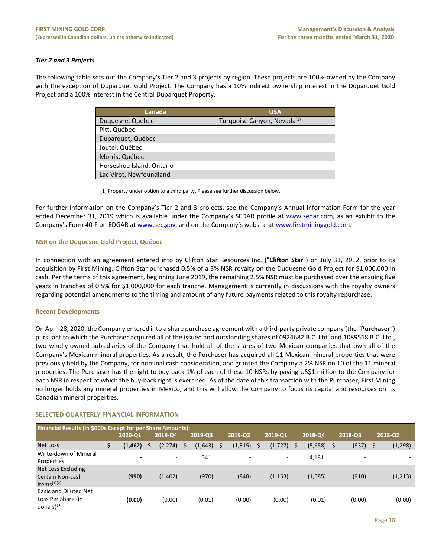# *Tier 2 and 3 Projects*

The following table sets out the Company's Tier 2 and 3 projects by region. These projects are 100%‐owned by the Company with the exception of Duparquet Gold Project. The Company has a 10% indirect ownership interest in the Duparquet Gold Project and a 100% interest in the Central Duparquet Property.

| <b>Canada</b>             | <b>USA</b>                              |
|---------------------------|-----------------------------------------|
| Duquesne, Québec          | Turquoise Canyon, Nevada <sup>(1)</sup> |
| Pitt, Québec              |                                         |
| Duparquet, Québec         |                                         |
| Joutel, Québec            |                                         |
| Morris, Québec            |                                         |
| Horseshoe Island, Ontario |                                         |
| Lac Virot, Newfoundland   |                                         |

(1) Property under option to a third party. Please see further discussion below.

For further information on the Company's Tier 2 and 3 projects, see the Company's Annual Information Form for the year ended December 31, 2019 which is available under the Company's SEDAR profile at www.sedar.com, as an exhibit to the Company's Form 40‐F on EDGAR at www.sec.gov, and on the Company's website at www.firstmininggold.com.

# **NSR on the Duquesne Gold Project, Québec**

In connection with an agreement entered into by Clifton Star Resources Inc. ("**Clifton Star**") on July 31, 2012, prior to its acquisition by First Mining, Clifton Star purchased 0.5% of a 3% NSR royalty on the Duquesne Gold Project for \$1,000,000 in cash. Per the terms of this agreement, beginning June 2019, the remaining 2.5% NSR must be purchased over the ensuing five years in tranches of 0.5% for \$1,000,000 for each tranche. Management is currently in discussions with the royalty owners regarding potential amendments to the timing and amount of any future payments related to this royalty repurchase.

# **Recent Developments**

On April 28, 2020, the Company entered into a share purchase agreement with a third‐party private company (the "**Purchaser**") pursuant to which the Purchaser acquired all of the issued and outstanding shares of 0924682 B.C. Ltd. and 1089568 B.C. Ltd., two wholly‐owned subsidiaries of the Company that hold all of the shares of two Mexican companies that own all of the Company's Mexican mineral properties. As a result, the Purchaser has acquired all 11 Mexican mineral properties that were previously held by the Company, for nominal cash consideration, and granted the Company a 2% NSR on 10 of the 11 mineral properties. The Purchaser has the right to buy‐back 1% of each of these 10 NSRs by paying US\$1 million to the Company for each NSR in respect of which the buy‐back right is exercised. As of the date of this transaction with the Purchaser, First Mining no longer holds any mineral properties in Mexico, and this will allow the Company to focus its capital and resources on its Canadian mineral properties.

| Financial Results (in \$000s Except for per Share Amounts):     |   |                          |  |          |   |         |    |                          |    |          |   |         |                |         |
|-----------------------------------------------------------------|---|--------------------------|--|----------|---|---------|----|--------------------------|----|----------|---|---------|----------------|---------|
|                                                                 |   |                          |  |          |   |         |    |                          |    |          |   |         |                |         |
|                                                                 |   | 2020-Q1                  |  | 2019-Q4  |   | 2019-Q3 |    | 2019-Q2                  |    | 2019-Q1  |   | 2018-Q4 | 2018-Q3        | 2018-Q2 |
| Net Loss                                                        | Ş | (1, 462)                 |  | (2, 274) | S | (1,643) | -S | (1, 315)                 | \$ | (1, 727) | S | (5,658) | (937)          | (1,298) |
| Write-down of Mineral<br>Properties                             |   | $\overline{\phantom{0}}$ |  | -        |   | 341     |    | $\overline{\phantom{a}}$ |    | $\sim$   |   | 4,181   | $\overline{a}$ |         |
| Net Loss Excluding<br>Certain Non-cash<br>Items $(1)(2)$        |   | (990)                    |  | (1,402)  |   | (970)   |    | (840)                    |    | (1, 153) |   | (1,085) | (910)          | (1,213) |
| Basic and Diluted Net<br>Loss Per Share (in<br>$dollars)^{(3)}$ |   | (0.00)                   |  | (0.00)   |   | (0.01)  |    | (0.00)                   |    | (0.00)   |   | (0.01)  | (0.00)         | (0.00)  |

# **SELECTED QUARTERLY FINANCIAL INFORMATION**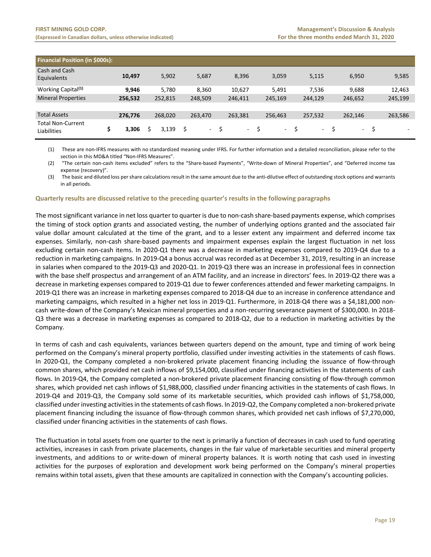| <b>Financial Position (in \$000s):</b>  |   |         |         |   |         |   |         |   |         |   |            |            |   |                          |
|-----------------------------------------|---|---------|---------|---|---------|---|---------|---|---------|---|------------|------------|---|--------------------------|
| Cash and Cash<br>Equivalents            |   | 10,497  | 5,902   |   | 5,687   |   | 8,396   |   | 3,059   |   | 5,115      | 6,950      |   | 9,585                    |
| Working Capital <sup>(1)</sup>          |   | 9.946   | 5.780   |   | 8,360   |   | 10,627  |   | 5,491   |   | 7,536      | 9.688      |   | 12,463                   |
| <b>Mineral Properties</b>               |   | 256,532 | 252,815 |   | 248,509 |   | 246,411 |   | 245,169 |   | 244,129    | 246,652    |   | 245,199                  |
|                                         |   |         |         |   |         |   |         |   |         |   |            |            |   |                          |
| <b>Total Assets</b>                     |   | 276,776 | 268,020 |   | 263,470 |   | 263,381 |   | 256,463 |   | 257,532    | 262,146    |   | 263,586                  |
| <b>Total Non-Current</b><br>Liabilities | Ş | 3,306   | 3.139   | S | ٠       | S | $\sim$  | S | $\sim$  | Ŝ | $\sim$ $-$ | $\sim 100$ | S | $\overline{\phantom{a}}$ |

(1) These are non‐IFRS measures with no standardized meaning under IFRS. For further information and a detailed reconciliation, please refer to the section in this MD&A titled "Non‐IFRS Measures".

(2) "The certain non-cash items excluded" refers to the "Share-based Payments", "Write-down of Mineral Properties", and "Deferred income tax expense (recovery)".

(3) The basic and diluted loss per share calculations result in the same amount due to the anti‐dilutive effect of outstanding stock options and warrants in all periods.

#### **Quarterly results are discussed relative to the preceding quarter's results in the following paragraphs**

The most significant variance in net loss quarter to quarter is due to non‐cash share‐based payments expense, which comprises the timing of stock option grants and associated vesting, the number of underlying options granted and the associated fair value dollar amount calculated at the time of the grant, and to a lesser extent any impairment and deferred income tax expenses. Similarly, non‐cash share‐based payments and impairment expenses explain the largest fluctuation in net loss excluding certain non‐cash items. In 2020‐Q1 there was a decrease in marketing expenses compared to 2019‐Q4 due to a reduction in marketing campaigns. In 2019‐Q4 a bonus accrual was recorded as at December 31, 2019, resulting in an increase in salaries when compared to the 2019‐Q3 and 2020‐Q1. In 2019‐Q3 there was an increase in professional fees in connection with the base shelf prospectus and arrangement of an ATM facility, and an increase in directors' fees. In 2019‐Q2 there was a decrease in marketing expenses compared to 2019‐Q1 due to fewer conferences attended and fewer marketing campaigns. In 2019‐Q1 there was an increase in marketing expenses compared to 2018‐Q4 due to an increase in conference attendance and marketing campaigns, which resulted in a higher net loss in 2019-Q1. Furthermore, in 2018-Q4 there was a \$4,181,000 noncash write-down of the Company's Mexican mineral properties and a non-recurring severance payment of \$300,000. In 2018-Q3 there was a decrease in marketing expenses as compared to 2018‐Q2, due to a reduction in marketing activities by the Company.

In terms of cash and cash equivalents, variances between quarters depend on the amount, type and timing of work being performed on the Company's mineral property portfolio, classified under investing activities in the statements of cash flows. In 2020-Q1, the Company completed a non-brokered private placement financing including the issuance of flow-through common shares, which provided net cash inflows of \$9,154,000, classified under financing activities in the statements of cash flows. In 2019-Q4, the Company completed a non-brokered private placement financing consisting of flow-through common shares, which provided net cash inflows of \$1,988,000, classified under financing activities in the statements of cash flows. In 2019‐Q4 and 2019‐Q3, the Company sold some of its marketable securities, which provided cash inflows of \$1,758,000, classified under investing activities in the statements of cash flows. In 2019‐Q2, the Company completed a non‐brokered private placement financing including the issuance of flow-through common shares, which provided net cash inflows of \$7,270,000, classified under financing activities in the statements of cash flows.

The fluctuation in total assets from one quarter to the next is primarily a function of decreases in cash used to fund operating activities, increases in cash from private placements, changes in the fair value of marketable securities and mineral property investments, and additions to or write-down of mineral property balances. It is worth noting that cash used in investing activities for the purposes of exploration and development work being performed on the Company's mineral properties remains within total assets, given that these amounts are capitalized in connection with the Company's accounting policies.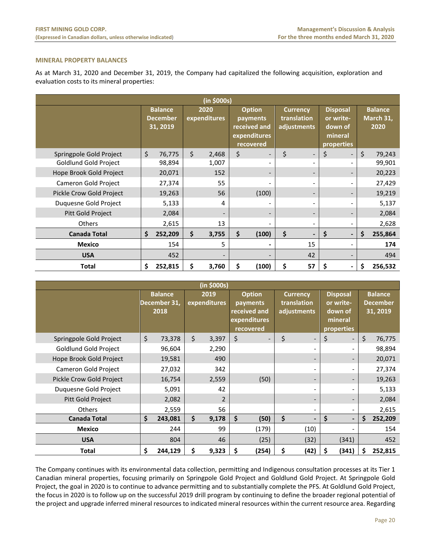# **MINERAL PROPERTY BALANCES**

As at March 31, 2020 and December 31, 2019, the Company had capitalized the following acquisition, exploration and evaluation costs to its mineral properties:

| (in \$000s)              |    |                                               |                      |       |                                                                        |                          |                                               |    |                                                                  |  |    |                                     |
|--------------------------|----|-----------------------------------------------|----------------------|-------|------------------------------------------------------------------------|--------------------------|-----------------------------------------------|----|------------------------------------------------------------------|--|----|-------------------------------------|
|                          |    | <b>Balance</b><br><b>December</b><br>31, 2019 | 2020<br>expenditures |       | <b>Option</b><br>payments<br>received and<br>expenditures<br>recovered |                          | <b>Currency</b><br>translation<br>adjustments |    | <b>Disposal</b><br>or write-<br>down of<br>mineral<br>properties |  |    | <b>Balance</b><br>March 31,<br>2020 |
| Springpole Gold Project  | \$ | 76,775                                        | \$                   | 2,468 | \$                                                                     |                          | \$                                            |    | \$                                                               |  | \$ | 79,243                              |
| Goldlund Gold Project    |    | 98,894                                        |                      | 1,007 |                                                                        | $\overline{\phantom{a}}$ |                                               |    |                                                                  |  |    | 99,901                              |
| Hope Brook Gold Project  |    | 20,071                                        |                      | 152   |                                                                        | $\overline{\phantom{a}}$ |                                               |    |                                                                  |  |    | 20,223                              |
| Cameron Gold Project     |    | 27,374                                        |                      | 55    |                                                                        |                          |                                               |    |                                                                  |  |    | 27,429                              |
| Pickle Crow Gold Project |    | 19,263                                        |                      | 56    |                                                                        | (100)                    |                                               |    |                                                                  |  |    | 19,219                              |
| Duquesne Gold Project    |    | 5,133                                         |                      | 4     |                                                                        | $\overline{\phantom{a}}$ |                                               |    |                                                                  |  |    | 5,137                               |
| Pitt Gold Project        |    | 2,084                                         |                      |       |                                                                        | -                        |                                               |    |                                                                  |  |    | 2,084                               |
| <b>Others</b>            |    | 2,615                                         |                      | 13    |                                                                        | $\overline{\phantom{a}}$ |                                               |    |                                                                  |  |    | 2,628                               |
| <b>Canada Total</b>      | \$ | 252,209                                       | \$                   | 3,755 | \$                                                                     | (100)                    | \$                                            |    | \$                                                               |  | \$ | 255,864                             |
| <b>Mexico</b>            |    | 154                                           |                      | 5     |                                                                        |                          |                                               | 15 |                                                                  |  |    | 174                                 |
| <b>USA</b>               |    | 452                                           |                      |       |                                                                        |                          |                                               | 42 |                                                                  |  |    | 494                                 |
| <b>Total</b>             | \$ | 252,815                                       | \$                   | 3,760 | \$                                                                     | (100)                    | \$                                            | 57 | \$                                                               |  | \$ | 256,532                             |

| (in \$000s)              |    |                                        |                      |                |                                                                        |       |                                               |                          |                                                                  |       |    |                                               |
|--------------------------|----|----------------------------------------|----------------------|----------------|------------------------------------------------------------------------|-------|-----------------------------------------------|--------------------------|------------------------------------------------------------------|-------|----|-----------------------------------------------|
|                          |    | <b>Balance</b><br>December 31,<br>2018 | 2019<br>expenditures |                | <b>Option</b><br>payments<br>received and<br>expenditures<br>recovered |       | <b>Currency</b><br>translation<br>adjustments |                          | <b>Disposal</b><br>or write-<br>down of<br>mineral<br>properties |       |    | <b>Balance</b><br><b>December</b><br>31, 2019 |
| Springpole Gold Project  | \$ | 73,378                                 | \$                   | 3,397          | \$                                                                     |       | \$                                            | ۰.                       | \$                                                               |       | \$ | 76,775                                        |
| Goldlund Gold Project    |    | 96,604                                 |                      | 2,290          |                                                                        |       |                                               |                          |                                                                  |       |    | 98,894                                        |
| Hope Brook Gold Project  |    | 19,581                                 |                      | 490            |                                                                        |       |                                               |                          |                                                                  |       |    | 20,071                                        |
| Cameron Gold Project     |    | 27,032                                 |                      | 342            |                                                                        |       |                                               | ۰                        |                                                                  |       |    | 27,374                                        |
| Pickle Crow Gold Project |    | 16,754                                 |                      | 2,559          |                                                                        | (50)  |                                               | -                        |                                                                  |       |    | 19,263                                        |
| Duquesne Gold Project    |    | 5,091                                  |                      | 42             |                                                                        |       |                                               | $\overline{\phantom{0}}$ |                                                                  |       |    | 5,133                                         |
| Pitt Gold Project        |    | 2,082                                  |                      | $\overline{2}$ |                                                                        |       |                                               | -                        |                                                                  |       |    | 2,084                                         |
| <b>Others</b>            |    | 2,559                                  |                      | 56             |                                                                        |       |                                               | $\overline{\phantom{0}}$ |                                                                  |       |    | 2,615                                         |
| <b>Canada Total</b>      | \$ | 243,081                                | \$                   | 9,178          | \$                                                                     | (50)  | \$                                            | $\overline{\phantom{0}}$ | \$                                                               |       | \$ | 252,209                                       |
| <b>Mexico</b>            |    | 244                                    |                      | 99             |                                                                        | (179) |                                               | (10)                     |                                                                  |       |    | 154                                           |
| <b>USA</b>               |    | 804                                    |                      | 46             |                                                                        | (25)  |                                               | (32)                     |                                                                  | (341) |    | 452                                           |
| <b>Total</b>             | \$ | 244,129                                | \$                   | 9,323          | S                                                                      | (254) | \$                                            | (42)                     | \$                                                               | (341) | Ś  | 252,815                                       |

The Company continues with its environmental data collection, permitting and Indigenous consultation processes at its Tier 1 Canadian mineral properties, focusing primarily on Springpole Gold Project and Goldlund Gold Project. At Springpole Gold Project, the goal in 2020 is to continue to advance permitting and to substantially complete the PFS. At Goldlund Gold Project, the focus in 2020 is to follow up on the successful 2019 drill program by continuing to define the broader regional potential of the project and upgrade inferred mineral resources to indicated mineral resources within the current resource area. Regarding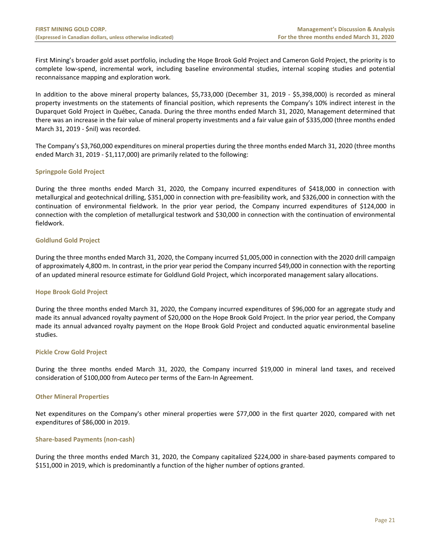First Mining's broader gold asset portfolio, including the Hope Brook Gold Project and Cameron Gold Project, the priority is to complete low-spend, incremental work, including baseline environmental studies, internal scoping studies and potential reconnaissance mapping and exploration work.

In addition to the above mineral property balances, \$5,733,000 (December 31, 2019 ‐ \$5,398,000) is recorded as mineral property investments on the statements of financial position, which represents the Company's 10% indirect interest in the Duparquet Gold Project in Québec, Canada. During the three months ended March 31, 2020, Management determined that there was an increase in the fair value of mineral property investments and a fair value gain of \$335,000 (three months ended March 31, 2019 ‐ \$nil) was recorded.

The Company's \$3,760,000 expenditures on mineral properties during the three months ended March 31, 2020 (three months ended March 31, 2019 - \$1,117,000) are primarily related to the following:

# **Springpole Gold Project**

During the three months ended March 31, 2020, the Company incurred expenditures of \$418,000 in connection with metallurgical and geotechnical drilling, \$351,000 in connection with pre‐feasibility work, and \$326,000 in connection with the continuation of environmental fieldwork. In the prior year period, the Company incurred expenditures of \$124,000 in connection with the completion of metallurgical testwork and \$30,000 in connection with the continuation of environmental fieldwork.

# **Goldlund Gold Project**

During the three months ended March 31, 2020, the Company incurred \$1,005,000 in connection with the 2020 drill campaign of approximately 4,800 m. In contrast, in the prior year period the Company incurred \$49,000 in connection with the reporting of an updated mineral resource estimate for Goldlund Gold Project, which incorporated management salary allocations.

# **Hope Brook Gold Project**

During the three months ended March 31, 2020, the Company incurred expenditures of \$96,000 for an aggregate study and made its annual advanced royalty payment of \$20,000 on the Hope Brook Gold Project. In the prior year period, the Company made its annual advanced royalty payment on the Hope Brook Gold Project and conducted aquatic environmental baseline studies.

# **Pickle Crow Gold Project**

During the three months ended March 31, 2020, the Company incurred \$19,000 in mineral land taxes, and received consideration of \$100,000 from Auteco per terms of the Earn-In Agreement.

# **Other Mineral Properties**

Net expenditures on the Company's other mineral properties were \$77,000 in the first quarter 2020, compared with net expenditures of \$86,000 in 2019.

# **Share‐based Payments (non‐cash)**

During the three months ended March 31, 2020, the Company capitalized \$224,000 in share-based payments compared to \$151,000 in 2019, which is predominantly a function of the higher number of options granted.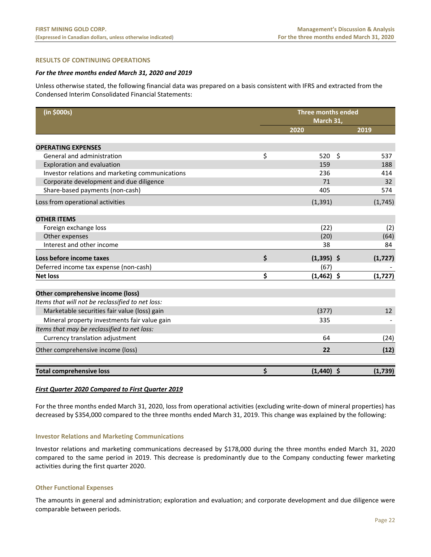# **RESULTS OF CONTINUING OPERATIONS**

#### *For the three months ended March 31, 2020 and 2019*

Unless otherwise stated, the following financial data was prepared on a basis consistent with IFRS and extracted from the Condensed Interim Consolidated Financial Statements:

| (in \$000s)                                      | <b>Three months ended</b><br>March 31, |                     |          |  |  |  |  |
|--------------------------------------------------|----------------------------------------|---------------------|----------|--|--|--|--|
|                                                  | 2020                                   |                     | 2019     |  |  |  |  |
|                                                  |                                        |                     |          |  |  |  |  |
| <b>OPERATING EXPENSES</b>                        |                                        |                     |          |  |  |  |  |
| General and administration                       | \$<br>520                              | $\ddot{\mathsf{S}}$ | 537      |  |  |  |  |
| Exploration and evaluation                       | 159                                    |                     | 188      |  |  |  |  |
| Investor relations and marketing communications  | 236                                    |                     | 414      |  |  |  |  |
| Corporate development and due diligence          | 71                                     |                     | 32       |  |  |  |  |
| Share-based payments (non-cash)                  | 405                                    |                     | 574      |  |  |  |  |
| Loss from operational activities                 | (1, 391)                               |                     | (1,745)  |  |  |  |  |
| <b>OTHER ITEMS</b>                               |                                        |                     |          |  |  |  |  |
| Foreign exchange loss                            | (22)                                   |                     | (2)      |  |  |  |  |
| Other expenses                                   | (20)                                   |                     | (64)     |  |  |  |  |
| Interest and other income                        | 38                                     |                     | 84       |  |  |  |  |
| Loss before income taxes                         | \$<br>$(1,395)$ \$                     |                     | (1, 727) |  |  |  |  |
| Deferred income tax expense (non-cash)           | (67)                                   |                     |          |  |  |  |  |
| <b>Net loss</b>                                  | \$<br>$(1,462)$ \$                     |                     | (1, 727) |  |  |  |  |
| Other comprehensive income (loss)                |                                        |                     |          |  |  |  |  |
| Items that will not be reclassified to net loss: |                                        |                     |          |  |  |  |  |
| Marketable securities fair value (loss) gain     | (377)                                  |                     | 12       |  |  |  |  |
| Mineral property investments fair value gain     | 335                                    |                     |          |  |  |  |  |
| Items that may be reclassified to net loss:      |                                        |                     |          |  |  |  |  |
| Currency translation adjustment                  | 64                                     |                     | (24)     |  |  |  |  |
| Other comprehensive income (loss)                | 22                                     |                     | (12)     |  |  |  |  |
| <b>Total comprehensive loss</b>                  | \$<br>$(1,440)$ \$                     |                     | (1,739)  |  |  |  |  |

#### *First Quarter 2020 Compared to First Quarter 2019*

For the three months ended March 31, 2020, loss from operational activities (excluding write-down of mineral properties) has decreased by \$354,000 compared to the three months ended March 31, 2019. This change was explained by the following:

#### **Investor Relations and Marketing Communications**

Investor relations and marketing communications decreased by \$178,000 during the three months ended March 31, 2020 compared to the same period in 2019. This decrease is predominantly due to the Company conducting fewer marketing activities during the first quarter 2020.

# **Other Functional Expenses**

The amounts in general and administration; exploration and evaluation; and corporate development and due diligence were comparable between periods.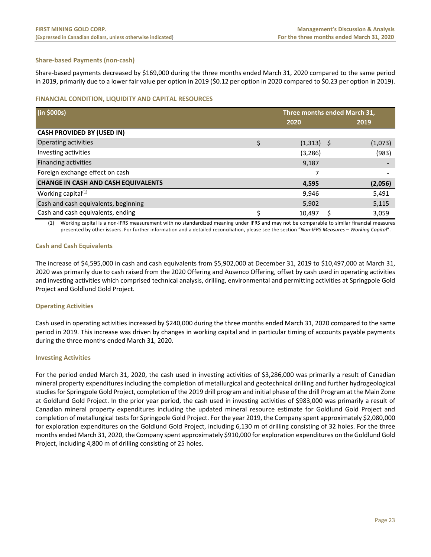# **Share‐based Payments (non‐cash)**

Share‐based payments decreased by \$169,000 during the three months ended March 31, 2020 compared to the same period in 2019, primarily due to a lower fair value per option in 2019 (\$0.12 per option in 2020 compared to \$0.23 per option in 2019).

# **FINANCIAL CONDITION, LIQUIDITY AND CAPITAL RESOURCES**

| (in \$000s)                                | Three months ended March 31, |              |  |         |  |  |
|--------------------------------------------|------------------------------|--------------|--|---------|--|--|
|                                            |                              | 2020         |  | 2019    |  |  |
| <b>CASH PROVIDED BY (USED IN)</b>          |                              |              |  |         |  |  |
| Operating activities                       | \$                           | $(1,313)$ \$ |  | (1,073) |  |  |
| Investing activities                       |                              | (3,286)      |  | (983)   |  |  |
| Financing activities                       |                              | 9,187        |  |         |  |  |
| Foreign exchange effect on cash            |                              |              |  |         |  |  |
| <b>CHANGE IN CASH AND CASH EQUIVALENTS</b> |                              | 4,595        |  | (2,056) |  |  |
| Working capital $(1)$                      |                              | 9,946        |  | 5,491   |  |  |
| Cash and cash equivalents, beginning       |                              | 5,902        |  | 5,115   |  |  |
| Cash and cash equivalents, ending          |                              | 10,497       |  | 3,059   |  |  |

(1) Working capital is a non‐IFRS measurement with no standardized meaning under IFRS and may not be comparable to similar financial measures presented by other issuers. For further information and a detailed reconciliation, please see the section "*Non‐IFRS Measures – Working Capital*".

# **Cash and Cash Equivalents**

The increase of \$4,595,000 in cash and cash equivalents from \$5,902,000 at December 31, 2019 to \$10,497,000 at March 31, 2020 was primarily due to cash raised from the 2020 Offering and Ausenco Offering, offset by cash used in operating activities and investing activities which comprised technical analysis, drilling, environmental and permitting activities at Springpole Gold Project and Goldlund Gold Project.

# **Operating Activities**

Cash used in operating activities increased by \$240,000 during the three months ended March 31, 2020 compared to the same period in 2019. This increase was driven by changes in working capital and in particular timing of accounts payable payments during the three months ended March 31, 2020.

# **Investing Activities**

For the period ended March 31, 2020, the cash used in investing activities of \$3,286,000 was primarily a result of Canadian mineral property expenditures including the completion of metallurgical and geotechnical drilling and further hydrogeological studies for Springpole Gold Project, completion of the 2019 drill program and initial phase of the drill Program at the Main Zone at Goldlund Gold Project. In the prior year period, the cash used in investing activities of \$983,000 was primarily a result of Canadian mineral property expenditures including the updated mineral resource estimate for Goldlund Gold Project and completion of metallurgical tests for Springpole Gold Project. For the year 2019, the Company spent approximately \$2,080,000 for exploration expenditures on the Goldlund Gold Project, including 6,130 m of drilling consisting of 32 holes. For the three months ended March 31, 2020, the Company spent approximately \$910,000 for exploration expenditures on the Goldlund Gold Project, including 4,800 m of drilling consisting of 25 holes.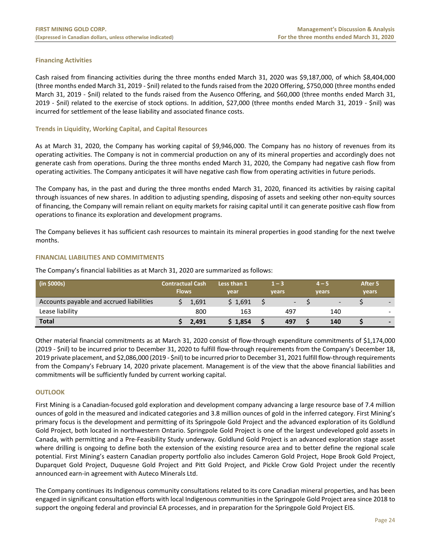# **Financing Activities**

Cash raised from financing activities during the three months ended March 31, 2020 was \$9,187,000, of which \$8,404,000 (three months ended March 31, 2019 ‐ \$nil) related to the funds raised from the 2020 Offering, \$750,000 (three months ended March 31, 2019 ‐ \$nil) related to the funds raised from the Ausenco Offering, and \$60,000 (three months ended March 31, 2019 ‐ \$nil) related to the exercise of stock options. In addition, \$27,000 (three months ended March 31, 2019 ‐ \$nil) was incurred for settlement of the lease liability and associated finance costs.

# **Trends in Liquidity, Working Capital, and Capital Resources**

As at March 31, 2020, the Company has working capital of \$9,946,000. The Company has no history of revenues from its operating activities. The Company is not in commercial production on any of its mineral properties and accordingly does not generate cash from operations. During the three months ended March 31, 2020, the Company had negative cash flow from operating activities. The Company anticipates it will have negative cash flow from operating activities in future periods.

The Company has, in the past and during the three months ended March 31, 2020, financed its activities by raising capital through issuances of new shares. In addition to adjusting spending, disposing of assets and seeking other non‐equity sources of financing, the Company will remain reliant on equity markets for raising capital until it can generate positive cash flow from operations to finance its exploration and development programs.

The Company believes it has sufficient cash resources to maintain its mineral properties in good standing for the next twelve months.

# **FINANCIAL LIABILITIES AND COMMITMENTS**

The Company's financial liabilities as at March 31, 2020 are summarized as follows:

| (in \$000s)                              | <b>Contractual Cash</b><br><b>Flows</b> |       | Less than 1<br>year | $1 - 3$<br>4 – 5<br>vears<br>vears |  | After 5<br>vears |  |                          |
|------------------------------------------|-----------------------------------------|-------|---------------------|------------------------------------|--|------------------|--|--------------------------|
| Accounts payable and accrued liabilities |                                         | 1,691 | \$1.691             | -                                  |  | -                |  |                          |
| Lease liability                          |                                         | 800   | 163                 | 497                                |  | 140              |  | $\overline{\phantom{0}}$ |
| <b>Total</b>                             |                                         | 2,491 | \$1,854             | 497                                |  | 140              |  |                          |

Other material financial commitments as at March 31, 2020 consist of flow‐through expenditure commitments of \$1,174,000 (2019 ‐ \$nil) to be incurred prior to December 31, 2020 to fulfill flow‐through requirements from the Company's December 18, 2019 private placement, and \$2,086,000 (2019 ‐ \$nil) to be incurred prior to December 31, 2021 fulfill flow‐through requirements from the Company's February 14, 2020 private placement. Management is of the view that the above financial liabilities and commitments will be sufficiently funded by current working capital.

# **OUTLOOK**

First Mining is a Canadian‐focused gold exploration and development company advancing a large resource base of 7.4 million ounces of gold in the measured and indicated categories and 3.8 million ounces of gold in the inferred category. First Mining's primary focus is the development and permitting of its Springpole Gold Project and the advanced exploration of its Goldlund Gold Project, both located in northwestern Ontario. Springpole Gold Project is one of the largest undeveloped gold assets in Canada, with permitting and a Pre‐Feasibility Study underway. Goldlund Gold Project is an advanced exploration stage asset where drilling is ongoing to define both the extension of the existing resource area and to better define the regional scale potential. First Mining's eastern Canadian property portfolio also includes Cameron Gold Project, Hope Brook Gold Project, Duparquet Gold Project, Duquesne Gold Project and Pitt Gold Project, and Pickle Crow Gold Project under the recently announced earn‐in agreement with Auteco Minerals Ltd.

The Company continues its Indigenous community consultations related to its core Canadian mineral properties, and has been engaged in significant consultation efforts with local Indigenous communities in the Springpole Gold Project area since 2018 to support the ongoing federal and provincial EA processes, and in preparation for the Springpole Gold Project EIS.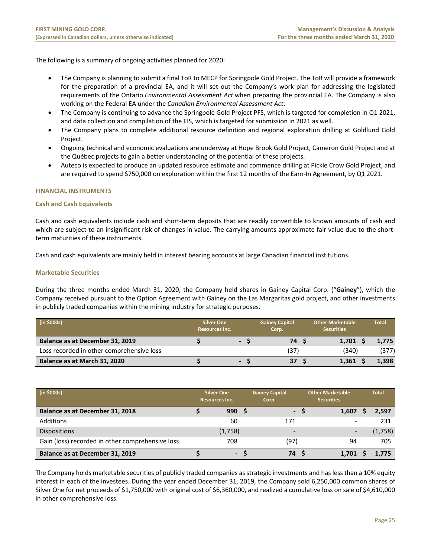The following is a summary of ongoing activities planned for 2020:

- The Company is planning to submit a final ToR to MECP for Springpole Gold Project. The ToR will provide a framework for the preparation of a provincial EA, and it will set out the Company's work plan for addressing the legislated requirements of the Ontario *Environmental Assessment Act* when preparing the provincial EA. The Company is also working on the Federal EA under the *Canadian Environmental Assessment Act*.
- The Company is continuing to advance the Springpole Gold Project PFS, which is targeted for completion in Q1 2021, and data collection and compilation of the EIS, which is targeted for submission in 2021 as well.
- The Company plans to complete additional resource definition and regional exploration drilling at Goldlund Gold Project.
- Ongoing technical and economic evaluations are underway at Hope Brook Gold Project, Cameron Gold Project and at the Québec projects to gain a better understanding of the potential of these projects.
- Auteco is expected to produce an updated resource estimate and commence drilling at Pickle Crow Gold Project, and are required to spend \$750,000 on exploration within the first 12 months of the Earn-In Agreement, by Q1 2021.

# **FINANCIAL INSTRUMENTS**

# **Cash and Cash Equivalents**

Cash and cash equivalents include cash and short‐term deposits that are readily convertible to known amounts of cash and which are subject to an insignificant risk of changes in value. The carrying amounts approximate fair value due to the shortterm maturities of these instruments.

Cash and cash equivalents are mainly held in interest bearing accounts at large Canadian financial institutions.

# **Marketable Securities**

During the three months ended March 31, 2020, the Company held shares in Gainey Capital Corp. ("**Gainey**"), which the Company received pursuant to the Option Agreement with Gainey on the Las Margaritas gold project, and other investments in publicly traded companies within the mining industry for strategic purposes.

| (in \$000s)                               | <b>Silver One</b><br><b>Resources Inc.</b> |                          | <b>Gainey Capital</b><br>Corp. | <b>Other Marketable</b><br><b>Securities</b> | Total |
|-------------------------------------------|--------------------------------------------|--------------------------|--------------------------------|----------------------------------------------|-------|
| Balance as at December 31, 2019           |                                            | $\blacksquare$           | 74 S                           | 1.701                                        | 1.775 |
| Loss recorded in other comprehensive loss |                                            | $\overline{\phantom{a}}$ | (37)                           | (340)                                        | (377) |
| Balance as at March 31, 2020              |                                            | $\blacksquare$           | 37                             | 1.361                                        | 1,398 |

| (in \$000s)                                      | <b>Silver One</b><br><b>Resources Inc.</b> |  | <b>Gainey Capital</b><br>Corp. |  | Other Marketable<br><b>Securities</b> |  | <b>Total</b> |
|--------------------------------------------------|--------------------------------------------|--|--------------------------------|--|---------------------------------------|--|--------------|
| Balance as at December 31, 2018                  | 990                                        |  | $\blacksquare$                 |  | 1,607                                 |  | 2,597        |
| Additions                                        | 60                                         |  | 171                            |  | $\overline{\phantom{a}}$              |  | 231          |
| <b>Dispositions</b>                              | (1,758)                                    |  | -                              |  | $\overline{\phantom{a}}$              |  | (1,758)      |
| Gain (loss) recorded in other comprehensive loss | 708                                        |  | (97)                           |  | 94                                    |  | 705          |
| Balance as at December 31, 2019                  | -                                          |  | 74                             |  | 1.701                                 |  | 1.775        |

The Company holds marketable securities of publicly traded companies as strategic investments and has less than a 10% equity interest in each of the investees. During the year ended December 31, 2019, the Company sold 6,250,000 common shares of Silver One for net proceeds of \$1,750,000 with original cost of \$6,360,000, and realized a cumulative loss on sale of \$4,610,000 in other comprehensive loss.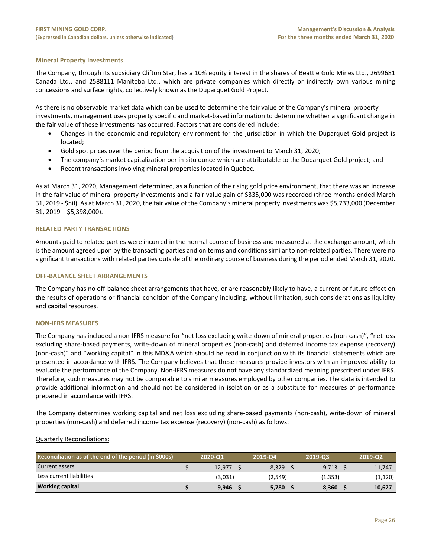# **Mineral Property Investments**

The Company, through its subsidiary Clifton Star, has a 10% equity interest in the shares of Beattie Gold Mines Ltd., 2699681 Canada Ltd., and 2588111 Manitoba Ltd., which are private companies which directly or indirectly own various mining concessions and surface rights, collectively known as the Duparquet Gold Project.

As there is no observable market data which can be used to determine the fair value of the Company's mineral property investments, management uses property specific and market‐based information to determine whether a significant change in the fair value of these investments has occurred. Factors that are considered include:

- Changes in the economic and regulatory environment for the jurisdiction in which the Duparquet Gold project is located;
- Gold spot prices over the period from the acquisition of the investment to March 31, 2020;
- The company's market capitalization per in‐situ ounce which are attributable to the Duparquet Gold project; and
- Recent transactions involving mineral properties located in Quebec.

As at March 31, 2020, Management determined, as a function of the rising gold price environment, that there was an increase in the fair value of mineral property investments and a fair value gain of \$335,000 was recorded (three months ended March 31, 2019 ‐ \$nil). As at March 31, 2020, the fair value of the Company's mineral property investments was \$5,733,000 (December 31, 2019 – \$5,398,000).

# **RELATED PARTY TRANSACTIONS**

Amounts paid to related parties were incurred in the normal course of business and measured at the exchange amount, which is the amount agreed upon by the transacting parties and on terms and conditions similar to non-related parties. There were no significant transactions with related parties outside of the ordinary course of business during the period ended March 31, 2020.

# **OFF‐BALANCE SHEET ARRANGEMENTS**

The Company has no off‐balance sheet arrangements that have, or are reasonably likely to have, a current or future effect on the results of operations or financial condition of the Company including, without limitation, such considerations as liquidity and capital resources.

# **NON‐IFRS MEASURES**

The Company has included a non‐IFRS measure for "net loss excluding write‐down of mineral properties (non‐cash)", "net loss excluding share‐based payments, write‐down of mineral properties (non‐cash) and deferred income tax expense (recovery) (non-cash)" and "working capital" in this MD&A which should be read in conjunction with its financial statements which are presented in accordance with IFRS. The Company believes that these measures provide investors with an improved ability to evaluate the performance of the Company. Non‐IFRS measures do not have any standardized meaning prescribed under IFRS. Therefore, such measures may not be comparable to similar measures employed by other companies. The data is intended to provide additional information and should not be considered in isolation or as a substitute for measures of performance prepared in accordance with IFRS.

The Company determines working capital and net loss excluding share‐based payments (non‐cash), write‐down of mineral properties (non‐cash) and deferred income tax expense (recovery) (non‐cash) as follows:

# Quarterly Reconciliations:

| Reconciliation as of the end of the period (in \$000s) | 2020-01 | 2019-04 | 2019-03  | 2019-02  |
|--------------------------------------------------------|---------|---------|----------|----------|
| Current assets                                         | 12.977  | 8.329   | 9,713    | 11,747   |
| Less current liabilities                               | (3,031) | (2,549) | (1, 353) | (1, 120) |
| <b>Working capital</b>                                 | 9,946   | 5,780   | 8.360    | 10,627   |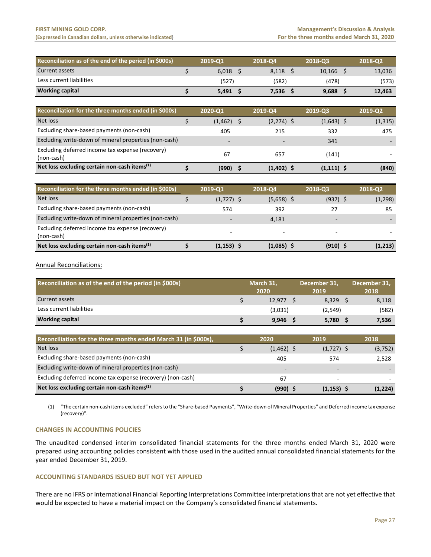#### **FIRST MINING GOLD CORP. Management's Discussion & Analysis** (Expressed in Canadian dollars, unless otherwise indicated) *Expressed in Canadian dollars, unless otherwise indicated*

| Reconciliation as of the end of the period (in \$000s) | 2019-01 | 2018-04 | 2018-03 | 2018-02 |
|--------------------------------------------------------|---------|---------|---------|---------|
| Current assets                                         | 6.018   | 8.118   | 10.166  | 13,036  |
| Less current liabilities                               | (527)   | (582)   | (478)   | (573)   |
| <b>Working capital</b>                                 | 5.491   | 7.536   | 9.688   | 12,463  |

| Reconciliation for the three months ended (in \$000s)          | 2020-Q1  | 2019-Q4                  | 2019-03      | 2019-Q2  |
|----------------------------------------------------------------|----------|--------------------------|--------------|----------|
| Net loss                                                       | (1, 462) | $(2,274)$ \$             | $(1,643)$ \$ | (1, 315) |
| Excluding share-based payments (non-cash)                      | 405      | 215                      | 332          | 475      |
| Excluding write-down of mineral properties (non-cash)          | -        | $\overline{\phantom{0}}$ | 341          |          |
| Excluding deferred income tax expense (recovery)<br>(non-cash) | 67       | 657                      | (141)        |          |
| Net loss excluding certain non-cash items $(1)$                | (990)    | $(1,402)$ \$             | $(1,111)$ \$ | (840)    |

| Reconciliation for the three months ended (in \$000s)          | 2019-Q1                  | 2018-Q4                  | 2018-03                  | 2018-Q2  |
|----------------------------------------------------------------|--------------------------|--------------------------|--------------------------|----------|
| Net loss                                                       | $(1,727)$ \$             | $(5,658)$ \$             | $(937)$ \$               | (1, 298) |
| Excluding share-based payments (non-cash)                      | 574                      | 392                      | 27                       | 85       |
| Excluding write-down of mineral properties (non-cash)          | $\overline{\phantom{0}}$ | 4.181                    | $\overline{\phantom{0}}$ |          |
| Excluding deferred income tax expense (recovery)<br>(non-cash) | $\overline{\phantom{a}}$ | $\overline{\phantom{0}}$ | $\overline{\phantom{0}}$ |          |
| Net loss excluding certain non-cash items <sup>(1)</sup>       | $(1, 153)$ \$            | $(1,085)$ \$             | $(910)$ \$               | (1,213)  |

# Annual Reconciliations:

| Reconciliation as of the end of the period (in \$000s) | March 31. |         | December 31, |         | December 31, |       |
|--------------------------------------------------------|-----------|---------|--------------|---------|--------------|-------|
|                                                        |           | 2020    |              | 2019    |              | 2018  |
| Current assets                                         |           | 12.977  |              | 8.329   |              | 8,118 |
| Less current liabilities                               |           | (3,031) |              | (2,549) |              | (582) |
| <b>Working capital</b>                                 |           | 9,946   |              | 5,780   |              | 7,536 |

| Reconciliation for the three months ended March 31 (in \$000s), | 2020                     | 2019                     | 2018     |
|-----------------------------------------------------------------|--------------------------|--------------------------|----------|
| Net loss                                                        | $(1,462)$ \$             | $(1,727)$ \$             | (3, 752) |
| Excluding share-based payments (non-cash)                       | 405                      | 574                      | 2,528    |
| Excluding write-down of mineral properties (non-cash)           | $\overline{\phantom{a}}$ | $\overline{\phantom{0}}$ |          |
| Excluding deferred income tax expense (recovery) (non-cash)     | 67                       | $\overline{\phantom{0}}$ |          |
| Net loss excluding certain non-cash items $(1)$                 | (990) \$                 | $(1, 153)$ \$            | (1,224)  |

(1) "The certain non‐cash items excluded" refers to the "Share‐based Payments", "Write‐down of Mineral Properties" and Deferred income tax expense (recovery)".

# **CHANGES IN ACCOUNTING POLICIES**

The unaudited condensed interim consolidated financial statements for the three months ended March 31, 2020 were prepared using accounting policies consistent with those used in the audited annual consolidated financial statements for the year ended December 31, 2019.

# **ACCOUNTING STANDARDS ISSUED BUT NOT YET APPLIED**

There are no IFRS or International Financial Reporting Interpretations Committee interpretations that are not yet effective that would be expected to have a material impact on the Company's consolidated financial statements.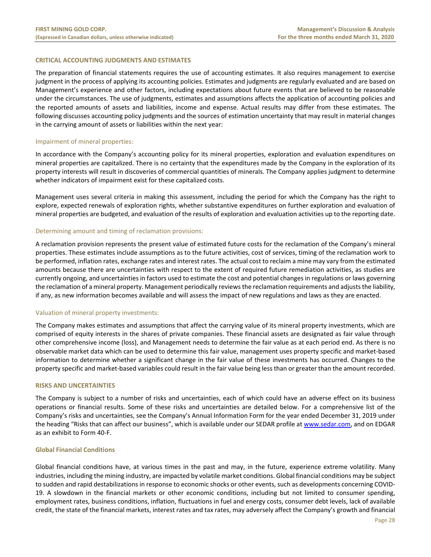# **CRITICAL ACCOUNTING JUDGMENTS AND ESTIMATES**

The preparation of financial statements requires the use of accounting estimates. It also requires management to exercise judgment in the process of applying its accounting policies. Estimates and judgments are regularly evaluated and are based on Management's experience and other factors, including expectations about future events that are believed to be reasonable under the circumstances. The use of judgments, estimates and assumptions affects the application of accounting policies and the reported amounts of assets and liabilities, income and expense. Actual results may differ from these estimates. The following discusses accounting policy judgments and the sources of estimation uncertainty that may result in material changes in the carrying amount of assets or liabilities within the next year:

# Impairment of mineral properties:

In accordance with the Company's accounting policy for its mineral properties, exploration and evaluation expenditures on mineral properties are capitalized. There is no certainty that the expenditures made by the Company in the exploration of its property interests will result in discoveries of commercial quantities of minerals. The Company applies judgment to determine whether indicators of impairment exist for these capitalized costs.

Management uses several criteria in making this assessment, including the period for which the Company has the right to explore, expected renewals of exploration rights, whether substantive expenditures on further exploration and evaluation of mineral properties are budgeted, and evaluation of the results of exploration and evaluation activities up to the reporting date.

#### Determining amount and timing of reclamation provisions:

A reclamation provision represents the present value of estimated future costs for the reclamation of the Company's mineral properties. These estimates include assumptions as to the future activities, cost of services, timing of the reclamation work to be performed, inflation rates, exchange rates and interest rates. The actual cost to reclaim a mine may vary from the estimated amounts because there are uncertainties with respect to the extent of required future remediation activities, as studies are currently ongoing, and uncertainties in factors used to estimate the cost and potential changes in regulations or laws governing the reclamation of a mineral property. Management periodically reviews the reclamation requirements and adjusts the liability, if any, as new information becomes available and will assess the impact of new regulations and laws as they are enacted.

# Valuation of mineral property investments:

The Company makes estimates and assumptions that affect the carrying value of its mineral property investments, which are comprised of equity interests in the shares of private companies. These financial assets are designated as fair value through other comprehensive income (loss), and Management needs to determine the fair value as at each period end. As there is no observable market data which can be used to determine this fair value, management uses property specific and market‐based information to determine whether a significant change in the fair value of these investments has occurred. Changes to the property specific and market‐based variables could result in the fair value being less than or greater than the amount recorded.

#### **RISKS AND UNCERTAINTIES**

The Company is subject to a number of risks and uncertainties, each of which could have an adverse effect on its business operations or financial results. Some of these risks and uncertainties are detailed below. For a comprehensive list of the Company's risks and uncertainties, see the Company's Annual Information Form for the year ended December 31, 2019 under the heading "Risks that can affect our business", which is available under our SEDAR profile at www.sedar.com, and on EDGAR as an exhibit to Form 40‐F.

#### **Global Financial Conditions**

Global financial conditions have, at various times in the past and may, in the future, experience extreme volatility. Many industries, including the mining industry, are impacted by volatile market conditions. Global financial conditions may be subject to sudden and rapid destabilizations in response to economic shocks or other events, such as developments concerning COVID‐ 19. A slowdown in the financial markets or other economic conditions, including but not limited to consumer spending, employment rates, business conditions, inflation, fluctuations in fuel and energy costs, consumer debt levels, lack of available credit, the state of the financial markets, interest rates and tax rates, may adversely affect the Company's growth and financial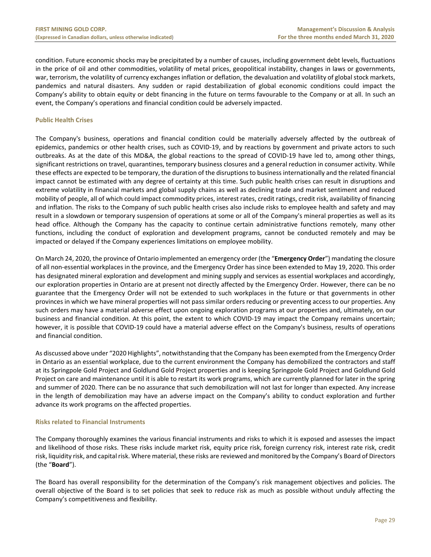condition. Future economic shocks may be precipitated by a number of causes, including government debt levels, fluctuations in the price of oil and other commodities, volatility of metal prices, geopolitical instability, changes in laws or governments, war, terrorism, the volatility of currency exchanges inflation or deflation, the devaluation and volatility of global stock markets, pandemics and natural disasters. Any sudden or rapid destabilization of global economic conditions could impact the Company's ability to obtain equity or debt financing in the future on terms favourable to the Company or at all. In such an event, the Company's operations and financial condition could be adversely impacted.

# **Public Health Crises**

The Company's business, operations and financial condition could be materially adversely affected by the outbreak of epidemics, pandemics or other health crises, such as COVID‐19, and by reactions by government and private actors to such outbreaks. As at the date of this MD&A, the global reactions to the spread of COVID‐19 have led to, among other things, significant restrictions on travel, quarantines, temporary business closures and a general reduction in consumer activity. While these effects are expected to be temporary, the duration of the disruptions to business internationally and the related financial impact cannot be estimated with any degree of certainty at this time. Such public health crises can result in disruptions and extreme volatility in financial markets and global supply chains as well as declining trade and market sentiment and reduced mobility of people, all of which could impact commodity prices, interest rates, credit ratings, credit risk, availability of financing and inflation. The risks to the Company of such public health crises also include risks to employee health and safety and may result in a slowdown or temporary suspension of operations at some or all of the Company's mineral properties as well as its head office. Although the Company has the capacity to continue certain administrative functions remotely, many other functions, including the conduct of exploration and development programs, cannot be conducted remotely and may be impacted or delayed if the Company experiences limitations on employee mobility.

On March 24, 2020, the province of Ontario implemented an emergency order (the "**Emergency Order**") mandating the closure of all non‐essential workplaces in the province, and the Emergency Order has since been extended to May 19, 2020. This order has designated mineral exploration and development and mining supply and services as essential workplaces and accordingly, our exploration properties in Ontario are at present not directly affected by the Emergency Order. However, there can be no guarantee that the Emergency Order will not be extended to such workplaces in the future or that governments in other provinces in which we have mineral properties will not pass similar orders reducing or preventing access to our properties. Any such orders may have a material adverse effect upon ongoing exploration programs at our properties and, ultimately, on our business and financial condition. At this point, the extent to which COVID‐19 may impact the Company remains uncertain; however, it is possible that COVID‐19 could have a material adverse effect on the Company's business, results of operations and financial condition.

As discussed above under "2020 Highlights", notwithstanding that the Company has been exempted from the Emergency Order in Ontario as an essential workplace, due to the current environment the Company has demobilized the contractors and staff at its Springpole Gold Project and Goldlund Gold Project properties and is keeping Springpole Gold Project and Goldlund Gold Project on care and maintenance until it is able to restart its work programs, which are currently planned for later in the spring and summer of 2020. There can be no assurance that such demobilization will not last for longer than expected. Any increase in the length of demobilization may have an adverse impact on the Company's ability to conduct exploration and further advance its work programs on the affected properties.

# **Risks related to Financial Instruments**

The Company thoroughly examines the various financial instruments and risks to which it is exposed and assesses the impact and likelihood of those risks. These risks include market risk, equity price risk, foreign currency risk, interest rate risk, credit risk, liquidity risk, and capital risk. Where material, these risks are reviewed and monitored by the Company's Board of Directors (the "**Board**").

The Board has overall responsibility for the determination of the Company's risk management objectives and policies. The overall objective of the Board is to set policies that seek to reduce risk as much as possible without unduly affecting the Company's competitiveness and flexibility.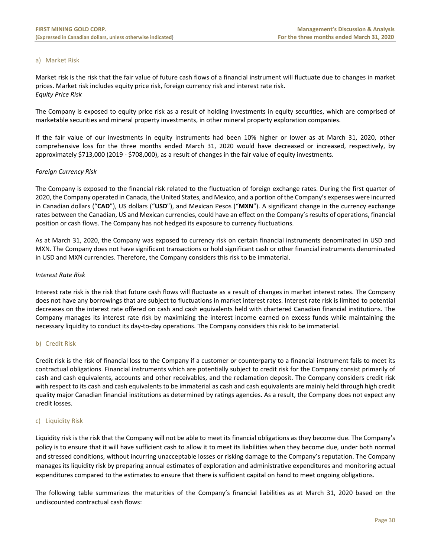# a) Market Risk

Market risk is the risk that the fair value of future cash flows of a financial instrument will fluctuate due to changes in market prices. Market risk includes equity price risk, foreign currency risk and interest rate risk. *Equity Price Risk* 

The Company is exposed to equity price risk as a result of holding investments in equity securities, which are comprised of marketable securities and mineral property investments, in other mineral property exploration companies.

If the fair value of our investments in equity instruments had been 10% higher or lower as at March 31, 2020, other comprehensive loss for the three months ended March 31, 2020 would have decreased or increased, respectively, by approximately \$713,000 (2019 ‐ \$708,000), as a result of changes in the fair value of equity investments.

# *Foreign Currency Risk*

The Company is exposed to the financial risk related to the fluctuation of foreign exchange rates. During the first quarter of 2020, the Company operated in Canada, the United States, and Mexico, and a portion of the Company's expenses were incurred in Canadian dollars ("**CAD**"), US dollars ("**USD**"), and Mexican Pesos ("**MXN**"). A significant change in the currency exchange rates between the Canadian, US and Mexican currencies, could have an effect on the Company's results of operations, financial position or cash flows. The Company has not hedged its exposure to currency fluctuations.

As at March 31, 2020, the Company was exposed to currency risk on certain financial instruments denominated in USD and MXN. The Company does not have significant transactions or hold significant cash or other financial instruments denominated in USD and MXN currencies. Therefore, the Company considers this risk to be immaterial.

# *Interest Rate Risk*

Interest rate risk is the risk that future cash flows will fluctuate as a result of changes in market interest rates. The Company does not have any borrowings that are subject to fluctuations in market interest rates. Interest rate risk is limited to potential decreases on the interest rate offered on cash and cash equivalents held with chartered Canadian financial institutions. The Company manages its interest rate risk by maximizing the interest income earned on excess funds while maintaining the necessary liquidity to conduct its day‐to‐day operations. The Company considers this risk to be immaterial.

# b) Credit Risk

Credit risk is the risk of financial loss to the Company if a customer or counterparty to a financial instrument fails to meet its contractual obligations. Financial instruments which are potentially subject to credit risk for the Company consist primarily of cash and cash equivalents, accounts and other receivables, and the reclamation deposit. The Company considers credit risk with respect to its cash and cash equivalents to be immaterial as cash and cash equivalents are mainly held through high credit quality major Canadian financial institutions as determined by ratings agencies. As a result, the Company does not expect any credit losses.

# c) Liquidity Risk

Liquidity risk is the risk that the Company will not be able to meet its financial obligations as they become due. The Company's policy is to ensure that it will have sufficient cash to allow it to meet its liabilities when they become due, under both normal and stressed conditions, without incurring unacceptable losses or risking damage to the Company's reputation. The Company manages its liquidity risk by preparing annual estimates of exploration and administrative expenditures and monitoring actual expenditures compared to the estimates to ensure that there is sufficient capital on hand to meet ongoing obligations.

The following table summarizes the maturities of the Company's financial liabilities as at March 31, 2020 based on the undiscounted contractual cash flows: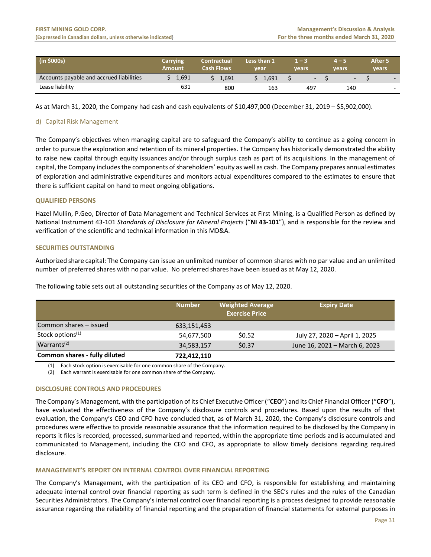| $\int$ (in \$000s)                       | Carrying<br>Amount | <b>Contractual</b><br><b>Cash Flows</b> | Less than 1<br>vear | u ma<br>vears            | vears                    | <b>After 5</b><br>vears |
|------------------------------------------|--------------------|-----------------------------------------|---------------------|--------------------------|--------------------------|-------------------------|
| Accounts payable and accrued liabilities | 1,691              | 1.691                                   | 1.691               | $\overline{\phantom{a}}$ | $\overline{\phantom{a}}$ | $\sim$                  |
| Lease liability                          | 631                | 800                                     | 163                 | 497                      | 140                      | $\sim$                  |

As at March 31, 2020, the Company had cash and cash equivalents of \$10,497,000 (December 31, 2019 – \$5,902,000).

# d) Capital Risk Management

The Company's objectives when managing capital are to safeguard the Company's ability to continue as a going concern in order to pursue the exploration and retention of its mineral properties. The Company has historically demonstrated the ability to raise new capital through equity issuances and/or through surplus cash as part of its acquisitions. In the management of capital, the Company includes the components of shareholders' equity as well as cash. The Company prepares annual estimates of exploration and administrative expenditures and monitors actual expenditures compared to the estimates to ensure that there is sufficient capital on hand to meet ongoing obligations.

# **QUALIFIED PERSONS**

Hazel Mullin, P.Geo, Director of Data Management and Technical Services at First Mining, is a Qualified Person as defined by National Instrument 43‐101 *Standards of Disclosure for Mineral Projects* ("**NI 43‐101**"), and is responsible for the review and verification of the scientific and technical information in this MD&A.

# **SECURITIES OUTSTANDING**

Authorized share capital: The Company can issue an unlimited number of common shares with no par value and an unlimited number of preferred shares with no par value. No preferred shares have been issued as at May 12, 2020.

|                               | <b>Number</b> | <b>Weighted Average</b><br><b>Exercise Price</b> | <b>Expiry Date</b>            |
|-------------------------------|---------------|--------------------------------------------------|-------------------------------|
| Common shares – issued        | 633,151,453   |                                                  |                               |
| Stock options <sup>(1)</sup>  | 54,677,500    | \$0.52                                           | July 27, 2020 - April 1, 2025 |
| Warrants <sup>(2)</sup>       | 34,583,157    | \$0.37                                           | June 16, 2021 - March 6, 2023 |
| Common shares - fully diluted | 722,412,110   |                                                  |                               |

The following table sets out all outstanding securities of the Company as of May 12, 2020.

(1) Each stock option is exercisable for one common share of the Company.

(2) Each warrant is exercisable for one common share of the Company.

# **DISCLOSURE CONTROLS AND PROCEDURES**

The Company's Management, with the participation of its Chief Executive Officer ("**CEO**") and its Chief Financial Officer ("**CFO**"), have evaluated the effectiveness of the Company's disclosure controls and procedures. Based upon the results of that evaluation, the Company's CEO and CFO have concluded that, as of March 31, 2020, the Company's disclosure controls and procedures were effective to provide reasonable assurance that the information required to be disclosed by the Company in reports it files is recorded, processed, summarized and reported, within the appropriate time periods and is accumulated and communicated to Management, including the CEO and CFO, as appropriate to allow timely decisions regarding required disclosure.

# **MANAGEMENT'S REPORT ON INTERNAL CONTROL OVER FINANCIAL REPORTING**

The Company's Management, with the participation of its CEO and CFO, is responsible for establishing and maintaining adequate internal control over financial reporting as such term is defined in the SEC's rules and the rules of the Canadian Securities Administrators. The Company's internal control over financial reporting is a process designed to provide reasonable assurance regarding the reliability of financial reporting and the preparation of financial statements for external purposes in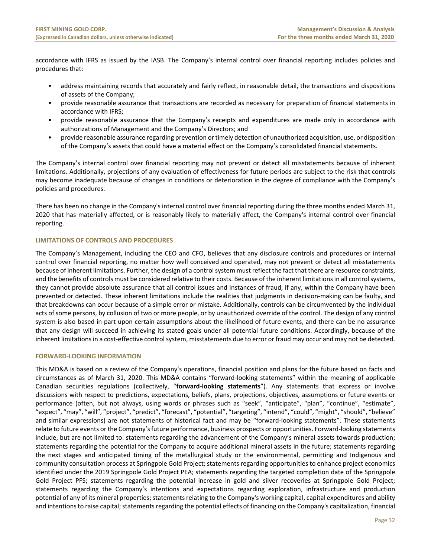accordance with IFRS as issued by the IASB. The Company's internal control over financial reporting includes policies and procedures that:

- address maintaining records that accurately and fairly reflect, in reasonable detail, the transactions and dispositions of assets of the Company;
- provide reasonable assurance that transactions are recorded as necessary for preparation of financial statements in accordance with IFRS;
- provide reasonable assurance that the Company's receipts and expenditures are made only in accordance with authorizations of Management and the Company's Directors; and
- provide reasonable assurance regarding prevention or timely detection of unauthorized acquisition, use, or disposition of the Company's assets that could have a material effect on the Company's consolidated financial statements.

The Company's internal control over financial reporting may not prevent or detect all misstatements because of inherent limitations. Additionally, projections of any evaluation of effectiveness for future periods are subject to the risk that controls may become inadequate because of changes in conditions or deterioration in the degree of compliance with the Company's policies and procedures.

There has been no change in the Company's internal control over financial reporting during the three months ended March 31, 2020 that has materially affected, or is reasonably likely to materially affect, the Company's internal control over financial reporting.

# **LIMITATIONS OF CONTROLS AND PROCEDURES**

The Company's Management, including the CEO and CFO, believes that any disclosure controls and procedures or internal control over financial reporting, no matter how well conceived and operated, may not prevent or detect all misstatements because of inherent limitations. Further, the design of a control system must reflect the fact that there are resource constraints, and the benefits of controls must be considered relative to their costs. Because of the inherent limitations in all control systems, they cannot provide absolute assurance that all control issues and instances of fraud, if any, within the Company have been prevented or detected. These inherent limitations include the realities that judgments in decision‐making can be faulty, and that breakdowns can occur because of a simple error or mistake. Additionally, controls can be circumvented by the individual acts of some persons, by collusion of two or more people, or by unauthorized override of the control. The design of any control system is also based in part upon certain assumptions about the likelihood of future events, and there can be no assurance that any design will succeed in achieving its stated goals under all potential future conditions. Accordingly, because of the inherent limitations in a cost-effective control system, misstatements due to error or fraud may occur and may not be detected.

# **FORWARD‐LOOKING INFORMATION**

This MD&A is based on a review of the Company's operations, financial position and plans for the future based on facts and circumstances as of March 31, 2020. This MD&A contains "forward‐looking statements" within the meaning of applicable Canadian securities regulations (collectively, "**forward‐looking statements**"). Any statements that express or involve discussions with respect to predictions, expectations, beliefs, plans, projections, objectives, assumptions or future events or performance (often, but not always, using words or phrases such as "seek", "anticipate", "plan", "continue", "estimate", "expect", "may", "will", "project", "predict", "forecast", "potential", "targeting", "intend", "could", "might", "should", "believe" and similar expressions) are not statements of historical fact and may be "forward-looking statements". These statements relate to future events or the Company's future performance, business prospects or opportunities. Forward-looking statements include, but are not limited to: statements regarding the advancement of the Company's mineral assets towards production; statements regarding the potential for the Company to acquire additional mineral assets in the future; statements regarding the next stages and anticipated timing of the metallurgical study or the environmental, permitting and Indigenous and community consultation process at Springpole Gold Project; statements regarding opportunities to enhance project economics identified under the 2019 Springpole Gold Project PEA; statements regarding the targeted completion date of the Springpole Gold Project PFS; statements regarding the potential increase in gold and silver recoveries at Springpole Gold Project; statements regarding the Company's intentions and expectations regarding exploration, infrastructure and production potential of any of its mineral properties; statements relating to the Company's working capital, capital expenditures and ability and intentions to raise capital; statements regarding the potential effects of financing on the Company's capitalization, financial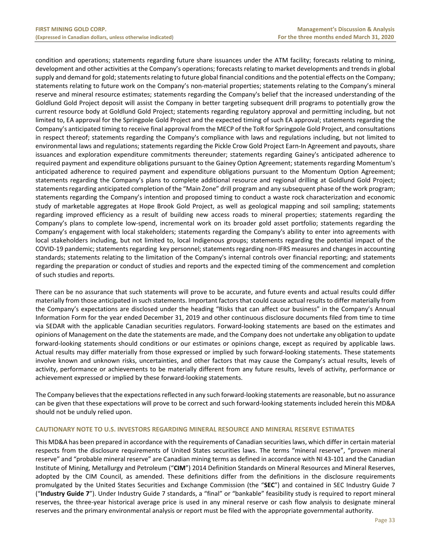condition and operations; statements regarding future share issuances under the ATM facility; forecasts relating to mining, development and other activities at the Company's operations; forecasts relating to market developments and trends in global supply and demand for gold; statements relating to future global financial conditions and the potential effects on the Company; statements relating to future work on the Company's non-material properties; statements relating to the Company's mineral reserve and mineral resource estimates; statements regarding the Company's belief that the increased understanding of the Goldlund Gold Project deposit will assist the Company in better targeting subsequent drill programs to potentially grow the current resource body at Goldlund Gold Project; statements regarding regulatory approval and permitting including, but not limited to, EA approval for the Springpole Gold Project and the expected timing of such EA approval; statements regarding the Company's anticipated timing to receive final approval from the MECP of the ToR for Springpole Gold Project, and consultations in respect thereof; statements regarding the Company's compliance with laws and regulations including, but not limited to environmental laws and regulations; statements regarding the Pickle Crow Gold Project Earn-In Agreement and payouts, share issuances and exploration expenditure commitments thereunder; statements regarding Gainey's anticipated adherence to required payment and expenditure obligations pursuant to the Gainey Option Agreement; statements regarding Momentum's anticipated adherence to required payment and expenditure obligations pursuant to the Momentum Option Agreement; statements regarding the Company's plans to complete additional resource and regional drilling at Goldlund Gold Project; statements regarding anticipated completion of the "Main Zone" drill program and any subsequent phase of the work program; statements regarding the Company's intention and proposed timing to conduct a waste rock characterization and economic study of marketable aggregates at Hope Brook Gold Project, as well as geological mapping and soil sampling; statements regarding improved efficiency as a result of building new access roads to mineral properties; statements regarding the Company's plans to complete low‐spend, incremental work on its broader gold asset portfolio; statements regarding the Company's engagement with local stakeholders; statements regarding the Company's ability to enter into agreements with local stakeholders including, but not limited to, local Indigenous groups; statements regarding the potential impact of the COVID‐19 pandemic; statements regarding key personnel; statements regarding non‐IFRS measures and changes in accounting standards; statements relating to the limitation of the Company's internal controls over financial reporting; and statements regarding the preparation or conduct of studies and reports and the expected timing of the commencement and completion of such studies and reports.

There can be no assurance that such statements will prove to be accurate, and future events and actual results could differ materially from those anticipated in such statements. Important factors that could cause actual results to differ materially from the Company's expectations are disclosed under the heading "Risks that can affect our business" in the Company's Annual Information Form for the year ended December 31, 2019 and other continuous disclosure documents filed from time to time via SEDAR with the applicable Canadian securities regulators. Forward‐looking statements are based on the estimates and opinions of Management on the date the statements are made, and the Company does not undertake any obligation to update forward-looking statements should conditions or our estimates or opinions change, except as required by applicable laws. Actual results may differ materially from those expressed or implied by such forward‐looking statements. These statements involve known and unknown risks, uncertainties, and other factors that may cause the Company's actual results, levels of activity, performance or achievements to be materially different from any future results, levels of activity, performance or achievement expressed or implied by these forward‐looking statements.

The Company believes that the expectations reflected in any such forward‐looking statements are reasonable, but no assurance can be given that these expectations will prove to be correct and such forward‐looking statements included herein this MD&A should not be unduly relied upon.

# **CAUTIONARY NOTE TO U.S. INVESTORS REGARDING MINERAL RESOURCE AND MINERAL RESERVE ESTIMATES**

This MD&A has been prepared in accordance with the requirements of Canadian securities laws, which differ in certain material respects from the disclosure requirements of United States securities laws. The terms "mineral reserve", "proven mineral reserve" and "probable mineral reserve" are Canadian mining terms as defined in accordance with NI 43‐101 and the Canadian Institute of Mining, Metallurgy and Petroleum ("**CIM**") 2014 Definition Standards on Mineral Resources and Mineral Reserves, adopted by the CIM Council, as amended. These definitions differ from the definitions in the disclosure requirements promulgated by the United States Securities and Exchange Commission (the "**SEC**") and contained in SEC Industry Guide 7 ("**Industry Guide 7**"). Under Industry Guide 7 standards, a "final" or "bankable" feasibility study is required to report mineral reserves, the three-year historical average price is used in any mineral reserve or cash flow analysis to designate mineral reserves and the primary environmental analysis or report must be filed with the appropriate governmental authority.